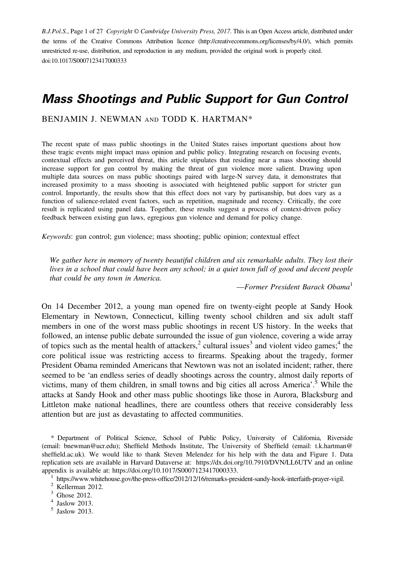B.J.Pol.S., Page 1 of 27 Copyright © Cambridge University Press, 2017. This is an Open Access article, distributed under the terms of the Creative Commons Attribution licence (http://creativecommons.org/licenses/by/4.0/), which permits unrestricted re-use, distribution, and reproduction in any medium, provided the original work is properly cited. doi:10.1017/S0007123417000333

# Mass Shootings and Public Support for Gun Control

BENJAMIN J. NEWMAN AND TODD K. HARTMAN\*

The recent spate of mass public shootings in the United States raises important questions about how these tragic events might impact mass opinion and public policy. Integrating research on focusing events, contextual effects and perceived threat, this article stipulates that residing near a mass shooting should increase support for gun control by making the threat of gun violence more salient. Drawing upon multiple data sources on mass public shootings paired with large-N survey data, it demonstrates that increased proximity to a mass shooting is associated with heightened public support for stricter gun control. Importantly, the results show that this effect does not vary by partisanship, but does vary as a function of salience-related event factors, such as repetition, magnitude and recency. Critically, the core result is replicated using panel data. Together, these results suggest a process of context-driven policy feedback between existing gun laws, egregious gun violence and demand for policy change.

Keywords: gun control; gun violence; mass shooting; public opinion; contextual effect

We gather here in memory of twenty beautiful children and six remarkable adults. They lost their lives in a school that could have been any school; in a quiet town full of good and decent people that could be any town in America.

 $-Former$  President Barack Obama<sup>1</sup>

On 14 December 2012, a young man opened fire on twenty-eight people at Sandy Hook Elementary in Newtown, Connecticut, killing twenty school children and six adult staff members in one of the worst mass public shootings in recent US history. In the weeks that followed, an intense public debate surrounded the issue of gun violence, covering a wide array of topics such as the mental health of attackers,<sup>2</sup> cultural issues<sup>3</sup> and violent video games;<sup>4</sup> the core political issue was restricting access to firearms. Speaking about the tragedy, former President Obama reminded Americans that Newtown was not an isolated incident; rather, there seemed to be 'an endless series of deadly shootings across the country, almost daily reports of victims, many of them children, in small towns and big cities all across America'. <sup>5</sup> While the attacks at Sandy Hook and other mass public shootings like those in Aurora, Blacksburg and Littleton make national headlines, there are countless others that receive considerably less attention but are just as devastating to affected communities.

\* Department of Political Science, School of Public Policy, University of California, Riverside (email: [bnewman@ucr.edu\)](mailto:bnewman@ucr.edu); Sheffield Methods Institute, The University of Sheffield (email: [t.k.hartman@](mailto:t.k.hartman@sheffield.ac.uk) sheffi[eld.ac.uk\)](mailto:t.k.hartman@sheffield.ac.uk). We would like to thank Steven Melendez for his help with the data and Figure 1. Data replication sets are available in Harvard Dataverse at: https://dx.doi.org/10.7910/DVN/LL6UTV and an online appendix is available at: https://doi.org/10.1017/S0007123417000333.<br>  $\frac{1}{1}$  https://www.whitehouse.gov/the-press-offi[ce/2012/12/16/remarks-president-sandy-hook-interfaith-prayer-vigil.](https://www.whitehouse.gov/the-press-office/2012�/�12/16/remarks-president-sandy-hook-interfaith-prayer-vigil)<br>  $\frac{2}{1}$  Kellerman [2012](#page-24-0).<br>  $\frac{$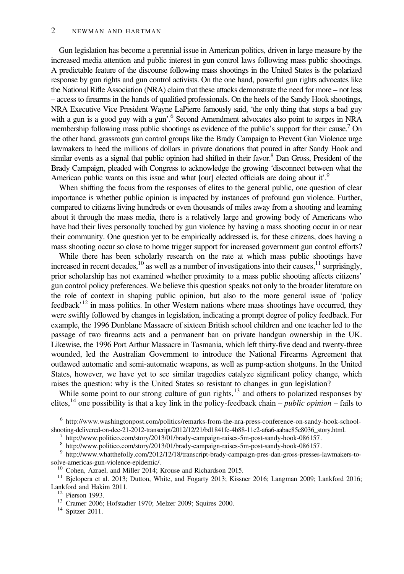Gun legislation has become a perennial issue in American politics, driven in large measure by the increased media attention and public interest in gun control laws following mass public shootings. A predictable feature of the discourse following mass shootings in the United States is the polarized response by gun rights and gun control activists. On the one hand, powerful gun rights advocates like the National Rifle Association (NRA) claim that these attacks demonstrate the need for more – not less – access to firearms in the hands of qualified professionals. On the heels of the Sandy Hook shootings, NRA Executive Vice President Wayne LaPierre famously said, 'the only thing that stops a bad guy with a gun is a good guy with a gun'.<sup>6</sup> Second Amendment advocates also point to surges in NRA membership following mass public shootings as evidence of the public's support for their cause.<sup>7</sup> On the other hand, grassroots gun control groups like the Brady Campaign to Prevent Gun Violence urge lawmakers to heed the millions of dollars in private donations that poured in after Sandy Hook and similar events as a signal that public opinion had shifted in their favor.<sup>8</sup> Dan Gross, President of the Brady Campaign, pleaded with Congress to acknowledge the growing 'disconnect between what the American public wants on this issue and what [our] elected officials are doing about it'.<sup>9</sup>

When shifting the focus from the responses of elites to the general public, one question of clear importance is whether public opinion is impacted by instances of profound gun violence. Further, compared to citizens living hundreds or even thousands of miles away from a shooting and learning about it through the mass media, there is a relatively large and growing body of Americans who have had their lives personally touched by gun violence by having a mass shooting occur in or near their community. One question yet to be empirically addressed is, for these citizens, does having a mass shooting occur so close to home trigger support for increased government gun control efforts?

While there has been scholarly research on the rate at which mass public shootings have increased in recent decades,<sup>10</sup> as well as a number of investigations into their causes,<sup>11</sup> surprisingly, prior scholarship has not examined whether proximity to a mass public shooting affects citizens' gun control policy preferences. We believe this question speaks not only to the broader literature on the role of context in shaping public opinion, but also to the more general issue of 'policy feedback<sup>12</sup> in mass politics. In other Western nations where mass shootings have occurred, they were swiftly followed by changes in legislation, indicating a prompt degree of policy feedback. For example, the 1996 Dunblane Massacre of sixteen British school children and one teacher led to the passage of two firearms acts and a permanent ban on private handgun ownership in the UK. Likewise, the 1996 Port Arthur Massacre in Tasmania, which left thirty-five dead and twenty-three wounded, led the Australian Government to introduce the National Firearms Agreement that outlawed automatic and semi-automatic weapons, as well as pump-action shotguns. In the United States, however, we have yet to see similar tragedies catalyze significant policy change, which raises the question: why is the United States so resistant to changes in gun legislation?

While some point to our strong culture of gun rights, $13$  and others to polarized responses by elites,<sup>14</sup> one possibility is that a key link in the policy-feedback chain – *public opinion* – fails to

<sup>6</sup> [http://www.washingtonpost.com/politics/remarks-from-the-nra-press-conference-on-sandy-hook-school-](http://www.washingtonpost.com/politics/remarks-from-the-nra-press-conference-on-sandy-hook-school-shooting-delivered-on-dec-21-2012-transcript/2012�/�12/21/bd1841fe-4b88-11e2-a6a6-aabac85e8036_story.html)

[shooting-delivered-on-dec-21-2012-transcript/2012/12/21/bd1841fe-4b88-11e2-a6a6-aabac85e8036\\_story.html](http://www.washingtonpost.com/politics/remarks-from-the-nra-press-conference-on-sandy-hook-school-shooting-delivered-on-dec-21-2012-transcript/2012�/�12/21/bd1841fe-4b88-11e2-a6a6-aabac85e8036_story.html). <sup>7</sup> [http://www.politico.com/story/2013/01/brady-campaign-raises-5m-post-sandy-hook-086157](http://www.politico.com/story/2013�/�01/brady-campaign-raises-5m-post-sandy-hook-086157). <sup>8</sup> [http://www.politico.com/story/2013/01/brady-campaign-raises-5m-post-sandy-hook-086157](http://www.politico.com/story/2013�/�01/brady-campaign-raises-5m-post-sandy-hook-086157). <sup>9</sup> [http://www.whatthefolly.com/2012/12/18/transcript-brady-campaign-pres-dan-gross-presses-lawmakers-to-](http://www.whatthefolly.com/2012�/�12/18/transcript-brady-campaign-pres-dan-gross-presses-lawmakers-to-solve-americas-gun-violence-epidemic/)

[solve-americas-gun-violence-epidemic/.](http://www.whatthefolly.com/2012�/�12/18/transcript-brady-campaign-pres-dan-gross-presses-lawmakers-to-solve-americas-gun-violence-epidemic/)<br><sup>10</sup> Cohen, Azrael, and Miller [2014](#page-23-0); Krouse and Richardson [2015](#page-24-0).<br><sup>11</sup> Bjelopera et al. [2013;](#page-23-0) Dutton, White, and Fogarty 2013; Kissner [2016;](#page-24-0) Langman [2009](#page-25-0); Lankford 2016;<br>Lankford and H

<sup>12</sup> Pierson 1993.<br><sup>13</sup> Cramer 2006; Hofstadter 1970; Melzer 2009; Squires 2000.<br><sup>14</sup> Spitzer [2011](#page-25-0).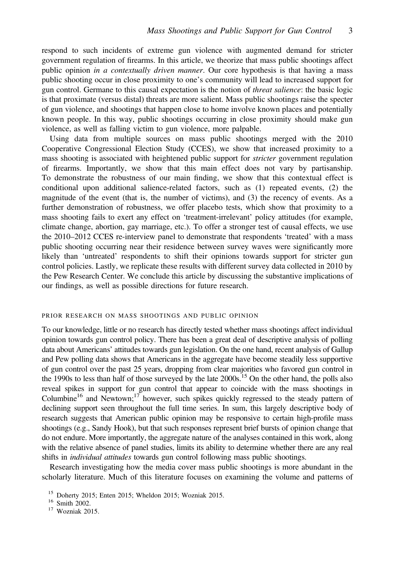respond to such incidents of extreme gun violence with augmented demand for stricter government regulation of firearms. In this article, we theorize that mass public shootings affect public opinion in a contextually driven manner. Our core hypothesis is that having a mass public shooting occur in close proximity to one's community will lead to increased support for gun control. Germane to this causal expectation is the notion of threat salience: the basic logic is that proximate (versus distal) threats are more salient. Mass public shootings raise the specter of gun violence, and shootings that happen close to home involve known places and potentially known people. In this way, public shootings occurring in close proximity should make gun violence, as well as falling victim to gun violence, more palpable.

Using data from multiple sources on mass public shootings merged with the 2010 Cooperative Congressional Election Study (CCES), we show that increased proximity to a mass shooting is associated with heightened public support for *stricter* government regulation of firearms. Importantly, we show that this main effect does not vary by partisanship. To demonstrate the robustness of our main finding, we show that this contextual effect is conditional upon additional salience-related factors, such as (1) repeated events, (2) the magnitude of the event (that is, the number of victims), and (3) the recency of events. As a further demonstration of robustness, we offer placebo tests, which show that proximity to a mass shooting fails to exert any effect on 'treatment-irrelevant' policy attitudes (for example, climate change, abortion, gay marriage, etc.). To offer a stronger test of causal effects, we use the 2010–2012 CCES re-interview panel to demonstrate that respondents 'treated' with a mass public shooting occurring near their residence between survey waves were significantly more likely than 'untreated' respondents to shift their opinions towards support for stricter gun control policies. Lastly, we replicate these results with different survey data collected in 2010 by the Pew Research Center. We conclude this article by discussing the substantive implications of our findings, as well as possible directions for future research.

#### PRIOR RESEARCH ON MASS SHOOTINGS AND PUBLIC OPINION

To our knowledge, little or no research has directly tested whether mass shootings affect individual opinion towards gun control policy. There has been a great deal of descriptive analysis of polling data about Americans' attitudes towards gun legislation. On the one hand, recent analysis of Gallup and Pew polling data shows that Americans in the aggregate have become steadily less supportive of gun control over the past 25 years, dropping from clear majorities who favored gun control in the 1990s to less than half of those surveyed by the late 2000s.<sup>15</sup> On the other hand, the polls also reveal spikes in support for gun control that appear to coincide with the mass shootings in Columbine<sup>16</sup> and Newtown;<sup>17</sup> however, such spikes quickly regressed to the steady pattern of declining support seen throughout the full time series. In sum, this largely descriptive body of research suggests that American public opinion may be responsive to certain high-profile mass shootings (e.g., Sandy Hook), but that such responses represent brief bursts of opinion change that do not endure. More importantly, the aggregate nature of the analyses contained in this work, along with the relative absence of panel studies, limits its ability to determine whether there are any real shifts in individual attitudes towards gun control following mass public shootings.

Research investigating how the media cover mass public shootings is more abundant in the scholarly literature. Much of this literature focuses on examining the volume and patterns of

<sup>&</sup>lt;sup>15</sup> Doherty [2015](#page-26-0); Enten [2015;](#page-26-0) Wheldon 2015; Wozniak [2015.](#page-26-0)<br><sup>16</sup> Smith [2002.](#page-26-0)<br><sup>17</sup> Wozniak 2015.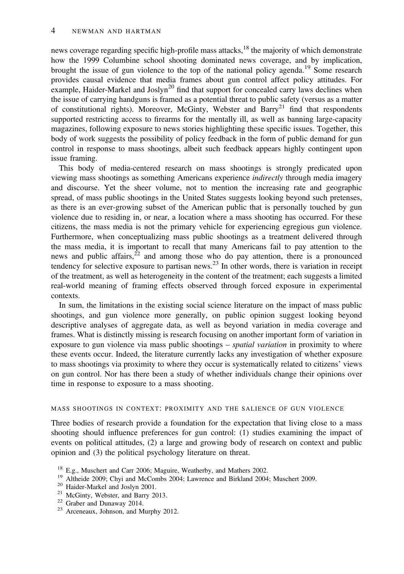news coverage regarding specific high-profile mass attacks,<sup>18</sup> the majority of which demonstrate how the 1999 Columbine school shooting dominated news coverage, and by implication, brought the issue of gun violence to the top of the national policy agenda.<sup>19</sup> Some research provides causal evidence that media frames about gun control affect policy attitudes. For example, Haider-Markel and Joslyn<sup>20</sup> find that support for concealed carry laws declines when the issue of carrying handguns is framed as a potential threat to public safety (versus as a matter of constitutional rights). Moreover, McGinty, Webster and Barry<sup>21</sup> find that respondents supported restricting access to firearms for the mentally ill, as well as banning large-capacity magazines, following exposure to news stories highlighting these specific issues. Together, this body of work suggests the possibility of policy feedback in the form of public demand for gun control in response to mass shootings, albeit such feedback appears highly contingent upon issue framing.

This body of media-centered research on mass shootings is strongly predicated upon viewing mass shootings as something Americans experience indirectly through media imagery and discourse. Yet the sheer volume, not to mention the increasing rate and geographic spread, of mass public shootings in the United States suggests looking beyond such pretenses, as there is an ever-growing subset of the American public that is personally touched by gun violence due to residing in, or near, a location where a mass shooting has occurred. For these citizens, the mass media is not the primary vehicle for experiencing egregious gun violence. Furthermore, when conceptualizing mass public shootings as a treatment delivered through the mass media, it is important to recall that many Americans fail to pay attention to the news and public affairs,  $\hat{z}^2$  and among those who do pay attention, there is a pronounced tendency for selective exposure to partisan news.<sup>23</sup> In other words, there is variation in receipt of the treatment, as well as heterogeneity in the content of the treatment; each suggests a limited real-world meaning of framing effects observed through forced exposure in experimental contexts.

In sum, the limitations in the existing social science literature on the impact of mass public shootings, and gun violence more generally, on public opinion suggest looking beyond descriptive analyses of aggregate data, as well as beyond variation in media coverage and frames. What is distinctly missing is research focusing on another important form of variation in exposure to gun violence via mass public shootings – *spatial variation* in proximity to where these events occur. Indeed, the literature currently lacks any investigation of whether exposure to mass shootings via proximity to where they occur is systematically related to citizens' views on gun control. Nor has there been a study of whether individuals change their opinions over time in response to exposure to a mass shooting.

#### MASS SHOOTINGS IN CONTEXT: PROXIMITY AND THE SALIENCE OF GUN VIOLENCE

Three bodies of research provide a foundation for the expectation that living close to a mass shooting should influence preferences for gun control: (1) studies examining the impact of events on political attitudes, (2) a large and growing body of research on context and public opinion and (3) the political psychology literature on threat.

- 
- <sup>18</sup> E.g., Muschert and Carr [2006](#page-25-0); Maguire, Weatherby, and Mathers [2002](#page-25-0).<br><sup>19</sup> Altheide [2009](#page-23-0); Chyi and McCombs [2004](#page-25-0); Lawrence and Birkland 2004; Muschert [2009.](#page-25-0)<br><sup>20</sup> Haider-Markel and Joslyn [2001](#page-24-0).<br><sup>21</sup> McGinty, Webster, and
- 
- 
- 
-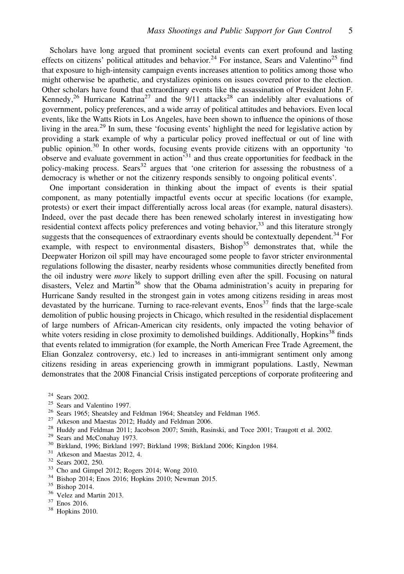Scholars have long argued that prominent societal events can exert profound and lasting effects on citizens' political attitudes and behavior.<sup>24</sup> For instance, Sears and Valentino<sup>25</sup> find that exposure to high-intensity campaign events increases attention to politics among those who might otherwise be apathetic, and crystalizes opinions on issues covered prior to the election. Other scholars have found that extraordinary events like the assassination of President John F. Kennedy,<sup>26</sup> Hurricane Katrina<sup>27</sup> and the  $9/11$  attacks<sup>28</sup> can indelibly alter evaluations of government, policy preferences, and a wide array of political attitudes and behaviors. Even local events, like the Watts Riots in Los Angeles, have been shown to influence the opinions of those living in the area.<sup>29</sup> In sum, these 'focusing events' highlight the need for legislative action by providing a stark example of why a particular policy proved ineffectual or out of line with public opinion.<sup>30</sup> In other words, focusing events provide citizens with an opportunity 'to observe and evaluate government in action<sup>31</sup> and thus create opportunities for feedback in the policy-making process. Sears<sup>32</sup> argues that 'one criterion for assessing the robustness of a democracy is whether or not the citizenry responds sensibly to ongoing political events'.

One important consideration in thinking about the impact of events is their spatial component, as many potentially impactful events occur at specific locations (for example, protests) or exert their impact differentially across local areas (for example, natural disasters). Indeed, over the past decade there has been renewed scholarly interest in investigating how residential context affects policy preferences and voting behavior,  $33$  and this literature strongly suggests that the consequences of extraordinary events should be contextually dependent.<sup>34</sup> For example, with respect to environmental disasters,  $Bishop<sup>35</sup>$  demonstrates that, while the Deepwater Horizon oil spill may have encouraged some people to favor stricter environmental regulations following the disaster, nearby residents whose communities directly benefited from the oil industry were *more* likely to support drilling even after the spill. Focusing on natural disasters. Velez and Martin<sup>36</sup> show that the Obama administration's acuity in preparing for Hurricane Sandy resulted in the strongest gain in votes among citizens residing in areas most devastated by the hurricane. Turning to race-relevant events,  $E$ nos<sup>37</sup> finds that the large-scale demolition of public housing projects in Chicago, which resulted in the residential displacement of large numbers of African-American city residents, only impacted the voting behavior of white voters residing in close proximity to demolished buildings. Additionally, Hopkins $^{38}$  finds that events related to immigration (for example, the North American Free Trade Agreement, the Elian Gonzalez controversy, etc.) led to increases in anti-immigrant sentiment only among citizens residing in areas experiencing growth in immigrant populations. Lastly, Newman demonstrates that the 2008 Financial Crisis instigated perceptions of corporate profiteering and

- 
- 
- 
- <sup>24</sup> Sears [2002.](#page-26-0)<br>
<sup>25</sup> Sears [1965;](#page-26-0) Sheatsley and Feldman [1964](#page-26-0); Sheatsley and Feldman [1965](#page-26-0).<br>
<sup>26</sup> Sears 1965; Sheatsley and Feldman 1964; Sheatsley and Feldman 1965.<br>
<sup>27</sup> Atkeson and Maestas [2012](#page-23-0); Huddy and Feldman [2006](#page-23-0).<br>
- 
- 
- 
- 
- 
- 
- 
- 
- 
-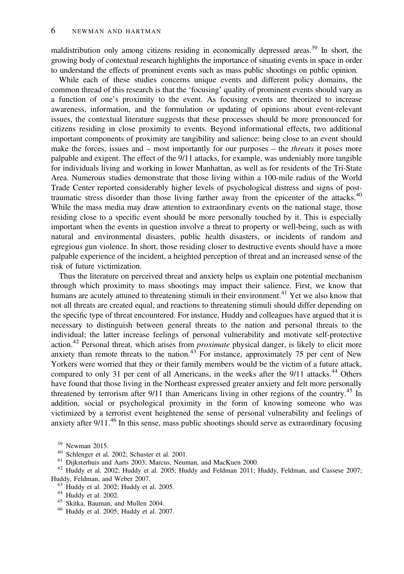maldistribution only among citizens residing in economically depressed areas.<sup>39</sup> In short, the growing body of contextual research highlights the importance of situating events in space in order to understand the effects of prominent events such as mass public shootings on public opinion.

While each of these studies concerns unique events and different policy domains, the common thread of this research is that the 'focusing' quality of prominent events should vary as a function of one's proximity to the event. As focusing events are theorized to increase awareness, information, and the formulation or updating of opinions about event-relevant issues, the contextual literature suggests that these processes should be more pronounced for citizens residing in close proximity to events. Beyond informational effects, two additional important components of proximity are tangibility and salience: being close to an event should make the forces, issues and – most importantly for our purposes – the *threats* it poses more palpable and exigent. The effect of the 9/11 attacks, for example, was undeniably more tangible for individuals living and working in lower Manhattan, as well as for residents of the Tri-State Area. Numerous studies demonstrate that those living within a 100-mile radius of the World Trade Center reported considerably higher levels of psychological distress and signs of posttraumatic stress disorder than those living farther away from the epicenter of the attacks.<sup>40</sup> While the mass media may draw attention to extraordinary events on the national stage, those residing close to a specific event should be more personally touched by it. This is especially important when the events in question involve a threat to property or well-being, such as with natural and environmental disasters, public health disasters, or incidents of random and egregious gun violence. In short, those residing closer to destructive events should have a more palpable experience of the incident, a heighted perception of threat and an increased sense of the risk of future victimization.

Thus the literature on perceived threat and anxiety helps us explain one potential mechanism through which proximity to mass shootings may impact their salience. First, we know that humans are acutely attuned to threatening stimuli in their environment.<sup>41</sup> Yet we also know that not all threats are created equal, and reactions to threatening stimuli should differ depending on the specific type of threat encountered. For instance, Huddy and colleagues have argued that it is necessary to distinguish between general threats to the nation and personal threats to the individual; the latter increase feelings of personal vulnerability and motivate self-protective action.<sup>42</sup> Personal threat, which arises from *proximate* physical danger, is likely to elicit more anxiety than remote threats to the nation.<sup>43</sup> For instance, approximately 75 per cent of New Yorkers were worried that they or their family members would be the victim of a future attack, compared to only 31 per cent of all Americans, in the weeks after the 9/11 attacks.<sup>44</sup> Others have found that those living in the Northeast expressed greater anxiety and felt more personally threatened by terrorism after  $9/11$  than Americans living in other regions of the country.<sup>45</sup> In addition, social or psychological proximity in the form of knowing someone who was victimized by a terrorist event heightened the sense of personal vulnerability and feelings of anxiety after  $9/11$ .<sup>46</sup> In this sense, mass public shootings should serve as extraordinary focusing

<sup>39</sup> Newman [2015.](#page-25-0)<br><sup>40</sup> Schlenger et al. [2002;](#page-25-0) Schuster et al. [2001.](#page-26-0)<br><sup>41</sup> Dijksterhuis and Aarts [2003](#page-23-0); Marcus, Neuman, and MacKuen [2000.](#page-25-0)<br><sup>42</sup> Huddy et al. [2002](#page-24-0); Huddy et al. [2005](#page-24-0); Huddy and Feldman [2011](#page-24-0); Huddy, Feldman, an Huddy, Feldman, and Weber [2007.](#page-24-0)<br><sup>43</sup> Huddy et al. [2002](#page-24-0); Huddy et al. [2005.](#page-24-0)<br><sup>44</sup> Huddy et al. 2002.<br><sup>45</sup> Skitka, Bauman, and Mullen [2004.](#page-26-0)<br><sup>46</sup> Huddy et al. [2005](#page-24-0); Huddy et al. 2007.

- 
-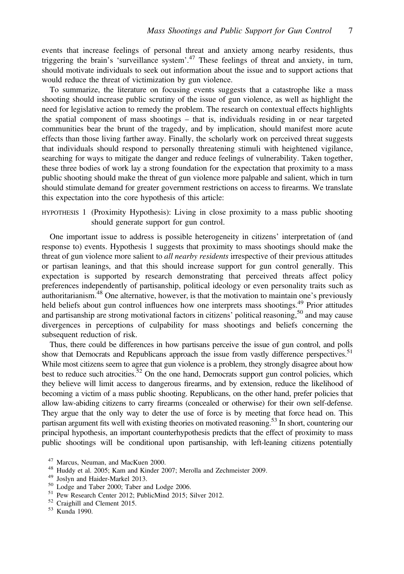events that increase feelings of personal threat and anxiety among nearby residents, thus triggering the brain's 'surveillance system'.<sup>47</sup> These feelings of threat and anxiety, in turn, should motivate individuals to seek out information about the issue and to support actions that would reduce the threat of victimization by gun violence.

To summarize, the literature on focusing events suggests that a catastrophe like a mass shooting should increase public scrutiny of the issue of gun violence, as well as highlight the need for legislative action to remedy the problem. The research on contextual effects highlights the spatial component of mass shootings – that is, individuals residing in or near targeted communities bear the brunt of the tragedy, and by implication, should manifest more acute effects than those living farther away. Finally, the scholarly work on perceived threat suggests that individuals should respond to personally threatening stimuli with heightened vigilance, searching for ways to mitigate the danger and reduce feelings of vulnerability. Taken together, these three bodies of work lay a strong foundation for the expectation that proximity to a mass public shooting should make the threat of gun violence more palpable and salient, which in turn should stimulate demand for greater government restrictions on access to firearms. We translate this expectation into the core hypothesis of this article:

HYPOTHESIS 1 (Proximity Hypothesis): Living in close proximity to a mass public shooting should generate support for gun control.

One important issue to address is possible heterogeneity in citizens' interpretation of (and response to) events. Hypothesis 1 suggests that proximity to mass shootings should make the threat of gun violence more salient to *all nearby residents* irrespective of their previous attitudes or partisan leanings, and that this should increase support for gun control generally. This expectation is supported by research demonstrating that perceived threats affect policy preferences independently of partisanship, political ideology or even personality traits such as authoritarianism.<sup>48</sup> One alternative, however, is that the motivation to maintain one's previously held beliefs about gun control influences how one interprets mass shootings.<sup>49</sup> Prior attitudes and partisanship are strong motivational factors in citizens' political reasoning,<sup>50</sup> and may cause divergences in perceptions of culpability for mass shootings and beliefs concerning the subsequent reduction of risk.

Thus, there could be differences in how partisans perceive the issue of gun control, and polls show that Democrats and Republicans approach the issue from vastly difference perspectives.<sup>51</sup> While most citizens seem to agree that gun violence is a problem, they strongly disagree about how best to reduce such atrocities.<sup>52</sup> On the one hand, Democrats support gun control policies, which they believe will limit access to dangerous firearms, and by extension, reduce the likelihood of becoming a victim of a mass public shooting. Republicans, on the other hand, prefer policies that allow law-abiding citizens to carry firearms (concealed or otherwise) for their own self-defense. They argue that the only way to deter the use of force is by meeting that force head on. This partisan argument fits well with existing theories on motivated reasoning.<sup>53</sup> In short, countering our principal hypothesis, an important counterhypothesis predicts that the effect of proximity to mass public shootings will be conditional upon partisanship, with left-leaning citizens potentially

- <sup>47</sup> Marcus, Neuman, and MacKuen [2000.](#page-25-0)<br><sup>48</sup> Huddy et al. [2005;](#page-24-0) Kam and Kinder [2007;](#page-24-0) Merolla and Zechmeister [2009](#page-25-0).<br><sup>49</sup> Joslyn and Haider-Markel [2013.](#page-24-0)<br><sup>50</sup> Lodge and Taber [2000;](#page-25-0) Taber and Lodge [2006](#page-26-0).<br><sup>51</sup> Pew Research Cent
- 
- 
- 
- 
-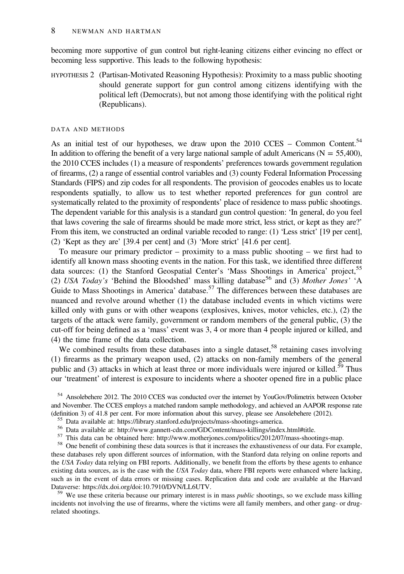becoming more supportive of gun control but right-leaning citizens either evincing no effect or becoming less supportive. This leads to the following hypothesis:

HYPOTHESIS 2 (Partisan-Motivated Reasoning Hypothesis): Proximity to a mass public shooting should generate support for gun control among citizens identifying with the political left (Democrats), but not among those identifying with the political right (Republicans).

#### DATA AND METHODS

As an initial test of our hypotheses, we draw upon the 2010 CCES – Common Content.<sup>54</sup> In addition to offering the benefit of a very large national sample of adult Americans ( $N = 55,400$ ), the 2010 CCES includes (1) a measure of respondents' preferences towards government regulation of firearms, (2) a range of essential control variables and (3) county Federal Information Processing Standards (FIPS) and zip codes for all respondents. The provision of geocodes enables us to locate respondents spatially, to allow us to test whether reported preferences for gun control are systematically related to the proximity of respondents' place of residence to mass public shootings. The dependent variable for this analysis is a standard gun control question: 'In general, do you feel that laws covering the sale of firearms should be made more strict, less strict, or kept as they are?' From this item, we constructed an ordinal variable recoded to range: (1) 'Less strict' [19 per cent], (2) 'Kept as they are' [39.4 per cent] and (3) 'More strict' [41.6 per cent].

To measure our primary predictor – proximity to a mass public shooting – we first had to identify all known mass shooting events in the nation. For this task, we identified three different data sources: (1) the Stanford Geospatial Center's 'Mass Shootings in America' project.<sup>55</sup> (2) USA Today's 'Behind the Bloodshed' mass killing database<sup>56</sup> and (3) Mother Jones' 'A Guide to Mass Shootings in America' database.<sup>57</sup> The differences between these databases are nuanced and revolve around whether (1) the database included events in which victims were killed only with guns or with other weapons (explosives, knives, motor vehicles, etc.), (2) the targets of the attack were family, government or random members of the general public, (3) the cut-off for being defined as a 'mass' event was 3, 4 or more than 4 people injured or killed, and (4) the time frame of the data collection.

We combined results from these databases into a single dataset,<sup>58</sup> retaining cases involving (1) firearms as the primary weapon used, (2) attacks on non-family members of the general public and  $(3)$  attacks in which at least three or more individuals were injured or killed.<sup>59</sup> Thus our 'treatment' of interest is exposure to incidents where a shooter opened fire in a public place

<sup>54</sup> Ansolebehere [2012](#page-23-0). The 2010 CCES was conducted over the internet by YouGov/Polimetrix between October and November. The CCES employs a matched random sample methodology, and achieved an AAPOR response rate (definition 3) of 41.8 per cent. For more information about this survey, please see Ansolebehere (2012).

<sup>55</sup> Data available at:<https://library.stanford.edu/projects/mass-shootings-america>.<br><sup>56</sup> Data available at:<http://www.gannett-cdn.com/GDContent/mass-killings/index.html#title>.<br><sup>57</sup> This data can be obtained here: http:

these databases rely upon different sources of information, with the Stanford data relying on online reports and the USA Today data relying on FBI reports. Additionally, we benefit from the efforts by these agents to enhance existing data sources, as is the case with the USA Today data, where FBI reports were enhanced where lacking, such as in the event of data errors or missing cases. Replication data and code are available at the Harvard Dataverse: https://dx.doi.org/doi:10.7910/DVN/LL6UTV.

 $59$  We use these criteria because our primary interest is in mass *public* shootings, so we exclude mass killing incidents not involving the use of firearms, where the victims were all family members, and other gang- or drugrelated shootings.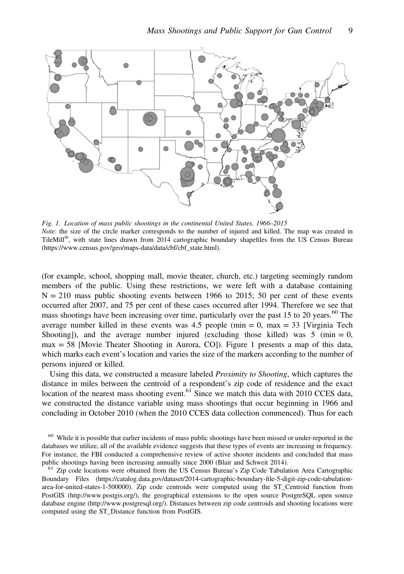

Fig. 1. Location of mass public shootings in the continental United States, 1966–2015 Note: the size of the circle marker corresponds to the number of injured and killed. The map was created in TileMill®, with state lines drawn from 2014 cartographic boundary shapefiles from the US Census Bureau ([https://www.census.gov/geo/maps-data/data/cbf/cbf\\_state.html\)](https://www.census.gov/geo/maps-data/data/cbf/cbf_state.html).

(for example, school, shopping mall, movie theater, church, etc.) targeting seemingly random members of the public. Using these restrictions, we were left with a database containing  $N = 210$  mass public shooting events between 1966 to 2015; 50 per cent of these events occurred after 2007, and 75 per cent of these cases occurred after 1994. Therefore we see that mass shootings have been increasing over time, particularly over the past 15 to 20 years.<sup>60</sup> The average number killed in these events was 4.5 people ( $min = 0$ ,  $max = 33$  [Virginia Tech Shooting]), and the average number injured (excluding those killed) was  $5 \text{ (min } = 0$ ,  $max = 58$  [Movie Theater Shooting in Aurora, CO]). Figure 1 presents a map of this data, which marks each event's location and varies the size of the markers according to the number of persons injured or killed.

Using this data, we constructed a measure labeled Proximity to Shooting, which captures the distance in miles between the centroid of a respondent's zip code of residence and the exact location of the nearest mass shooting event.<sup>61</sup> Since we match this data with 2010 CCES data, we constructed the distance variable using mass shootings that occur beginning in 1966 and concluding in October 2010 (when the 2010 CCES data collection commenced). Thus for each

<sup>60</sup> While it is possible that earlier incidents of mass public shootings have been missed or under-reported in the databases we utilize, all of the available evidence suggests that these types of events are increasing in frequency. For instance, the FBI conducted a comprehensive review of active shooter incidents and concluded that mass public shootings having been increasing annually since 2000 (Blair and Schweit 2014).

 $\frac{61}{2}$  Zip code locations were obtained from the US Census Bureau's Zip Code Tabulation Area Cartographic Boundary Files ([https://catalog.data.gov/dataset/2014-cartographic-boundary-](https://catalog.data.gov/dataset/2014-cartographic-boundary-file-5-digit-zip-code-tabulation-area-for-united-states-1-500000)file-5-digit-zip-code-tabulation[area-for-united-states-1-500000](https://catalog.data.gov/dataset/2014-cartographic-boundary-file-5-digit-zip-code-tabulation-area-for-united-states-1-500000)). Zip code centroids were computed using the ST\_Centroid function from PostGIS [\(http://www.postgis.org/](http://www.postgis.org/)), the geographical extensions to the open source PostgreSQL open source database engine (<http://www.postgresql.org/>). Distances between zip code centroids and shooting locations were computed using the ST\_Distance function from PostGIS.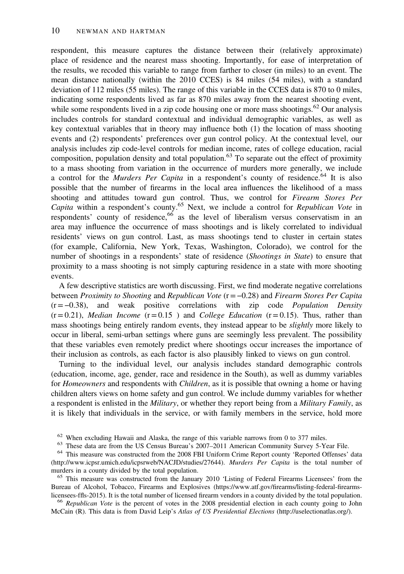respondent, this measure captures the distance between their (relatively approximate) place of residence and the nearest mass shooting. Importantly, for ease of interpretation of the results, we recoded this variable to range from farther to closer (in miles) to an event. The mean distance nationally (within the 2010 CCES) is 84 miles (54 miles), with a standard deviation of 112 miles (55 miles). The range of this variable in the CCES data is 870 to 0 miles, indicating some respondents lived as far as 870 miles away from the nearest shooting event, while some respondents lived in a zip code housing one or more mass shootings.<sup>62</sup> Our analysis includes controls for standard contextual and individual demographic variables, as well as key contextual variables that in theory may influence both (1) the location of mass shooting events and (2) respondents' preferences over gun control policy. At the contextual level, our analysis includes zip code-level controls for median income, rates of college education, racial composition, population density and total population.<sup>63</sup> To separate out the effect of proximity to a mass shooting from variation in the occurrence of murders more generally, we include a control for the *Murders Per Capita* in a respondent's county of residence.<sup>64</sup> It is also possible that the number of firearms in the local area influences the likelihood of a mass shooting and attitudes toward gun control. Thus, we control for Firearm Stores Per Capita within a respondent's county.<sup>65</sup> Next, we include a control for Republican Vote in respondents' county of residence, $66$  as the level of liberalism versus conservatism in an area may influence the occurrence of mass shootings and is likely correlated to individual residents' views on gun control. Last, as mass shootings tend to cluster in certain states (for example, California, New York, Texas, Washington, Colorado), we control for the number of shootings in a respondents' state of residence *(Shootings in State)* to ensure that proximity to a mass shooting is not simply capturing residence in a state with more shooting events.

A few descriptive statistics are worth discussing. First, we find moderate negative correlations between *Proximity to Shooting and Republican Vote* ( $r = -0.28$ ) and *Firearm Stores Per Capita* (r = −0.38), and weak positive correlations with zip code Population Density  $(r=0.21)$ , Median Income  $(r=0.15)$  and College Education  $(r=0.15)$ . Thus, rather than mass shootings being entirely random events, they instead appear to be *slightly* more likely to occur in liberal, semi-urban settings where guns are seemingly less prevalent. The possibility that these variables even remotely predict where shootings occur increases the importance of their inclusion as controls, as each factor is also plausibly linked to views on gun control.

Turning to the individual level, our analysis includes standard demographic controls (education, income, age, gender, race and residence in the South), as well as dummy variables for *Homeowners* and respondents with *Children*, as it is possible that owning a home or having children alters views on home safety and gun control. We include dummy variables for whether a respondent is enlisted in the *Military*, or whether they report being from a *Military Family*, as it is likely that individuals in the service, or with family members in the service, hold more

 $^{62}$  When excluding Hawaii and Alaska, the range of this variable narrows from 0 to 377 miles.<br>  $^{63}$  These data are from the US Census Bureau's 2007–2011 American Community Survey 5-Year File.<br>  $^{64}$  This measure was

[\(http://www.icpsr.umich.edu/icpsrweb/NACJD/studies/27644](http://www.icpsr.umich.edu/icpsrweb/NACJD/studies/27644)). Murders Per Capita is the total number of

murders in a county divided by the total population.<br><sup>65</sup> This measure was constructed from the January 2010 'Listing of Federal Firearms Licensees' from the Bureau of Alcohol, Tobacco, Firearms and Explosives (https://www.atf.gov/fi[rearms/listing-federal-](https://www.atf.gov/firearms/listing-federal-firearms-licensees-ffls-2015)firearms[licensees-f](https://www.atf.gov/firearms/listing-federal-firearms-licensees-ffls-2015)fls-2015). It is the total number of licensed firearm vendors in a county divided by the total population. <sup>66</sup> Republican Vote is the percent of votes in the 2008 presidential election in each county going to J

McCain (R). This data is from David Leip's Atlas of US Presidential Elections ([http://uselectionatlas.org/\)](http://uselectionatlas.org/).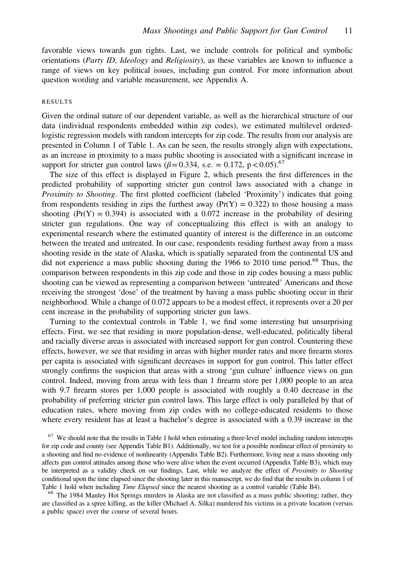favorable views towards gun rights. Last, we include controls for political and symbolic orientations (Party ID, Ideology and Religiosity), as these variables are known to influence a range of views on key political issues, including gun control. For more information about question wording and variable measurement, see Appendix A.

#### RESULTS

Given the ordinal nature of our dependent variable, as well as the hierarchical structure of our data (individual respondents embedded within zip codes), we estimated multilevel orderedlogistic regression models with random intercepts for zip code. The results from our analysis are presented in Column 1 of Table 1. As can be seen, the results strongly align with expectations, as an increase in proximity to a mass public shooting is associated with a significant increase in support for stricter gun control laws ( $\beta$  = 0.334, s.e. = 0.172, p < 0.05).<sup>67</sup>

The size of this effect is displayed in [Figure 2,](#page-12-0) which presents the first differences in the predicted probability of supporting stricter gun control laws associated with a change in Proximity to Shooting. The first plotted coefficient (labeled 'Proximity') indicates that going from respondents residing in zips the furthest away ( $Pr(Y) = 0.322$ ) to those housing a mass shooting  $(\text{Pr}(Y) = 0.394)$  is associated with a 0.072 increase in the probability of desiring stricter gun regulations. One way of conceptualizing this effect is with an analogy to experimental research where the estimated quantity of interest is the difference in an outcome between the treated and untreated. In our case, respondents residing furthest away from a mass shooting reside in the state of Alaska, which is spatially separated from the continental US and did not experience a mass public shooting during the 1966 to 2010 time period.<sup>68</sup> Thus, the comparison between respondents in this zip code and those in zip codes housing a mass public shooting can be viewed as representing a comparison between 'untreated' Americans and those receiving the strongest 'dose' of the treatment by having a mass public shooting occur in their neighborhood. While a change of 0.072 appears to be a modest effect, it represents over a 20 per cent increase in the probability of supporting stricter gun laws.

Turning to the contextual controls in Table 1, we find some interesting but unsurprising effects. First, we see that residing in more population-dense, well-educated, politically liberal and racially diverse areas is associated with increased support for gun control. Countering these effects, however, we see that residing in areas with higher murder rates and more firearm stores per capita is associated with significant decreases in support for gun control. This latter effect strongly confirms the suspicion that areas with a strong 'gun culture' influence views on gun control. Indeed, moving from areas with less than 1 firearm store per 1,000 people to an area with 9.7 firearm stores per 1,000 people is associated with roughly a 0.40 decrease in the probability of preferring stricter gun control laws. This large effect is only paralleled by that of education rates, where moving from zip codes with no college-educated residents to those where every resident has at least a bachelor's degree is associated with a 0.39 increase in the

<sup>67</sup> We should note that the results in Table 1 hold when estimating a three-level model including random intercepts for zip code and county (see Appendix Table B1). Additionally, we test for a possible nonlinear effect of proximity to a shooting and find no evidence of nonlinearity (Appendix Table B2). Furthermore, living near a mass shooting only affects gun control attitudes among those who were alive when the event occurred (Appendix Table B3), which may be interpreted as a validity check on our findings. Last, while we analyze the effect of Proximity to Shooting conditional upon the time elapsed since the shooting later in this manuscript, we do find that the results in column 1 of Table 1 hold when including *Time Elapsed* since the nearest shooting as a control variable (Table B4).<br><sup>68</sup> The 1984 Manley Hot Springs murders in Alaska are not classified as a mass public shooting; rather, they

are classified as a spree killing, as the killer (Michael A. Silka) murdered his victims in a private location (versus a public space) over the course of several hours.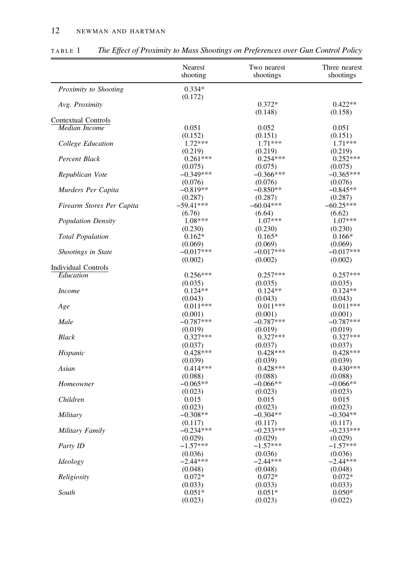## 12 NEWMAN AND HARTMAN

|                           | <b>Nearest</b><br>shooting | Two nearest<br>shootings | Three nearest<br>shootings |
|---------------------------|----------------------------|--------------------------|----------------------------|
| Proximity to Shooting     | $0.334*$<br>(0.172)        |                          |                            |
| Avg. Proximity            |                            | $0.372*$<br>(0.148)      | $0.422**$<br>(0.158)       |
| Contextual Controls       |                            |                          |                            |
| <b>Median Income</b>      | 0.051                      | 0.052                    | 0.051                      |
|                           | (0.152)                    | (0.151)                  | (0.151)                    |
| College Education         | $1.72***$                  | $1.71***$                | $1.71***$                  |
|                           | (0.219)                    | (0.219)                  | (0.219)                    |
| Percent Black             | $0.261***$                 | $0.254***$               | $0.252***$                 |
|                           | (0.075)                    | (0.075)                  | (0.075)                    |
| Republican Vote           | $-0.349***$                | $-0.366***$              | $-0.365***$                |
|                           | (0.076)                    | (0.076)                  | (0.076)                    |
| Murders Per Capita        | $-0.819**$                 | $-0.850**$               | $-0.845**$                 |
|                           | (0.287)<br>$-59.41***$     | (0.287)<br>$-60.04***$   | (0.287)<br>$-60.25***$     |
| Firearm Stores Per Capita | (6.76)                     | (6.64)                   | (6.62)                     |
| <b>Population Density</b> | $1.08***$                  | 1.07***                  | $1.07***$                  |
|                           | (0.230)                    | (0.230)                  | (0.230)                    |
| <b>Total Population</b>   | $0.162*$                   | $0.165*$                 | $0.166*$                   |
|                           | (0.069)                    | (0.069)                  | (0.069)                    |
| Shootings in State        | $-0.017***$                | $-0.017***$              | $-0.017***$                |
|                           | (0.002)                    | (0.002)                  | (0.002)                    |
| Individual Controls       |                            |                          |                            |
| Education                 | $0.256***$                 | $0.257***$               | $0.257***$                 |
|                           | (0.035)                    | (0.035)                  | (0.035)                    |
| <i>Income</i>             | $0.124**$                  | $0.124**$                | $0.124**$                  |
|                           | (0.043)                    | (0.043)                  | (0.043)                    |
| Age                       | $0.011***$                 | $0.011***$               | $0.011***$                 |
|                           | (0.001)                    | (0.001)                  | (0.001)                    |
| Male                      | $-0.787***$                | $-0.787***$              | $-0.787***$                |
|                           | (0.019)                    | (0.019)                  | (0.019)                    |
| <b>Black</b>              | $0.327***$                 | $0.327***$               | $0.327***$                 |
|                           | (0.037)<br>$0.428***$      | (0.037)<br>$0.428***$    | (0.037)<br>$0.428***$      |
| Hispanic                  |                            |                          |                            |
| Asian                     | (0.039)<br>$0.414***$      | (0.039)<br>$0.428***$    | (0.039)<br>$0.430***$      |
|                           | (0.088)                    | (0.088)                  | (0.088)                    |
| Homeowner                 | $-0.065**$                 | $-0.066**$               | $-0.066**$                 |
|                           | (0.023)                    | (0.023)                  | (0.023)                    |
| Children                  | 0.015                      | 0.015                    | 0.015                      |
|                           | (0.023)                    | (0.023)                  | (0.023)                    |
| Military                  | $-0.308**$                 | $-0.304**$               | $-0.304**$                 |
|                           | (0.117)                    | (0.117)                  | (0.117)                    |
| Military Family           | $-0.234***$                | $-0.233***$              | $-0.233***$                |
|                           | (0.029)                    | (0.029)                  | (0.029)                    |
| Party ID                  | $-1.57***$                 | $-1.57***$               | $-1.57***$                 |
|                           | (0.036)                    | (0.036)                  | (0.036)                    |
| Ideology                  | $-2.44***$                 | $-2.44***$               | $-2.44***$                 |
|                           | (0.048)                    | (0.048)                  | (0.048)                    |
| Religiosity               | $0.072*$                   | $0.072*$                 | $0.072*$                   |
|                           | (0.033)                    | (0.033)                  | (0.033)                    |
| South                     | $0.051*$                   | $0.051*$                 | $0.050*$                   |
|                           | (0.023)                    | (0.023)                  | (0.022)                    |

TABLE 1 The Effect of Proximity to Mass Shootings on Preferences over Gun Control Policy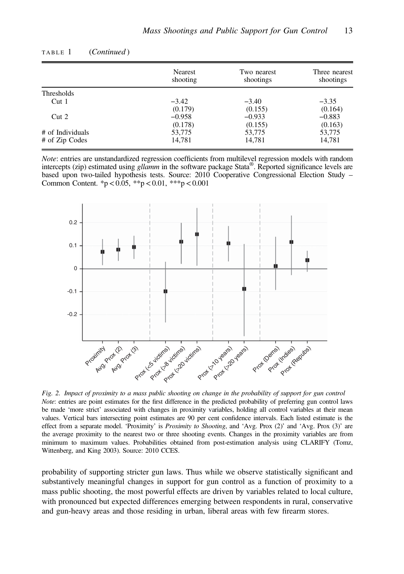|                   | <b>Nearest</b><br>shooting | Two nearest<br>shootings | Three nearest<br>shootings |
|-------------------|----------------------------|--------------------------|----------------------------|
| <b>Thresholds</b> |                            |                          |                            |
| Cut <sub>1</sub>  | $-3.42$                    | $-3.40$                  | $-3.35$                    |
|                   | (0.179)                    | (0.155)                  | (0.164)                    |
| Cut <sub>2</sub>  | $-0.958$                   | $-0.933$                 | $-0.883$                   |
|                   | (0.178)                    | (0.155)                  | (0.163)                    |
| # of Individuals  | 53,775                     | 53,775                   | 53,775                     |
| # of Zip Codes    | 14,781                     | 14,781                   | 14,781                     |

<span id="page-12-0"></span>

| TABLE |  | (Continued) |  |
|-------|--|-------------|--|
|-------|--|-------------|--|

Note: entries are unstandardized regression coefficients from multilevel regression models with random intercepts (zip) estimated using *gllamm* in the software package Stata<sup>®</sup>. Reported significance levels are based upon two-tailed hypothesis tests. Source: 2010 Cooperative Congressional Election Study – Common Content. \*p < 0.05, \*\*p < 0.01, \*\*\*p < 0.001



Fig. 2. Impact of proximity to a mass public shooting on change in the probability of support for gun control Note: entries are point estimates for the first difference in the predicted probability of preferring gun control laws be made 'more strict' associated with changes in proximity variables, holding all control variables at their mean values. Vertical bars intersecting point estimates are 90 per cent confidence intervals. Each listed estimate is the effect from a separate model. 'Proximity' is *Proximity to Shooting*, and 'Avg. Prox (2)' and 'Avg. Prox (3)' are the average proximity to the nearest two or three shooting events. Changes in the proximity variables are from minimum to maximum values. Probabilities obtained from post-estimation analysis using CLARIFY (Tomz, Wittenberg, and King [2003](#page-26-0)). Source: 2010 CCES.

probability of supporting stricter gun laws. Thus while we observe statistically significant and substantively meaningful changes in support for gun control as a function of proximity to a mass public shooting, the most powerful effects are driven by variables related to local culture, with pronounced but expected differences emerging between respondents in rural, conservative and gun-heavy areas and those residing in urban, liberal areas with few firearm stores.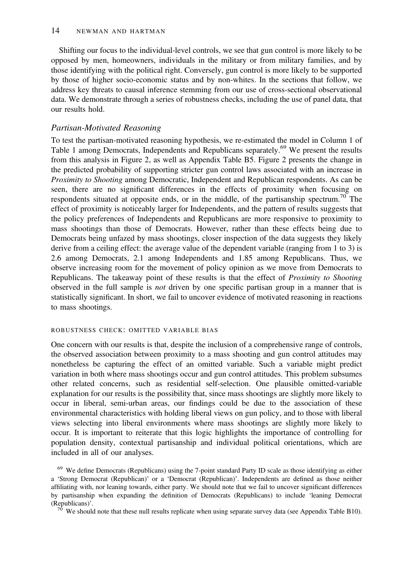Shifting our focus to the individual-level controls, we see that gun control is more likely to be opposed by men, homeowners, individuals in the military or from military families, and by those identifying with the political right. Conversely, gun control is more likely to be supported by those of higher socio-economic status and by non-whites. In the sections that follow, we address key threats to causal inference stemming from our use of cross-sectional observational data. We demonstrate through a series of robustness checks, including the use of panel data, that our results hold.

## Partisan-Motivated Reasoning

To test the partisan-motivated reasoning hypothesis, we re-estimated the model in Column 1 of Table 1 among Democrats, Independents and Republicans separately.<sup>69</sup> We present the results from this analysis in [Figure 2,](#page-12-0) as well as Appendix Table B5. [Figure 2](#page-12-0) presents the change in the predicted probability of supporting stricter gun control laws associated with an increase in Proximity to Shooting among Democratic, Independent and Republican respondents. As can be seen, there are no significant differences in the effects of proximity when focusing on respondents situated at opposite ends, or in the middle, of the partisanship spectrum.<sup>70</sup> The effect of proximity is noticeably larger for Independents, and the pattern of results suggests that the policy preferences of Independents and Republicans are more responsive to proximity to mass shootings than those of Democrats. However, rather than these effects being due to Democrats being unfazed by mass shootings, closer inspection of the data suggests they likely derive from a ceiling effect: the average value of the dependent variable (ranging from 1 to 3) is 2.6 among Democrats, 2.1 among Independents and 1.85 among Republicans. Thus, we observe increasing room for the movement of policy opinion as we move from Democrats to Republicans. The takeaway point of these results is that the effect of *Proximity to Shooting* observed in the full sample is not driven by one specific partisan group in a manner that is statistically significant. In short, we fail to uncover evidence of motivated reasoning in reactions to mass shootings.

### ROBUSTNESS CHECK: OMITTED VARIABLE BIAS

One concern with our results is that, despite the inclusion of a comprehensive range of controls, the observed association between proximity to a mass shooting and gun control attitudes may nonetheless be capturing the effect of an omitted variable. Such a variable might predict variation in both where mass shootings occur and gun control attitudes. This problem subsumes other related concerns, such as residential self-selection. One plausible omitted-variable explanation for our results is the possibility that, since mass shootings are slightly more likely to occur in liberal, semi-urban areas, our findings could be due to the association of these environmental characteristics with holding liberal views on gun policy, and to those with liberal views selecting into liberal environments where mass shootings are slightly more likely to occur. It is important to reiterate that this logic highlights the importance of controlling for population density, contextual partisanship and individual political orientations, which are included in all of our analyses.

<sup>69</sup> We define Democrats (Republicans) using the 7-point standard Party ID scale as those identifying as either a 'Strong Democrat (Republican)' or a 'Democrat (Republican)'. Independents are defined as those neither affiliating with, nor leaning towards, either party. We should note that we fail to uncover significant differences by partisanship when expanding the definition of Democrats (Republicans) to include 'leaning Democrat (Republicans)'. The should note that these null results replicate when using separate survey data (see Appendix Table B10).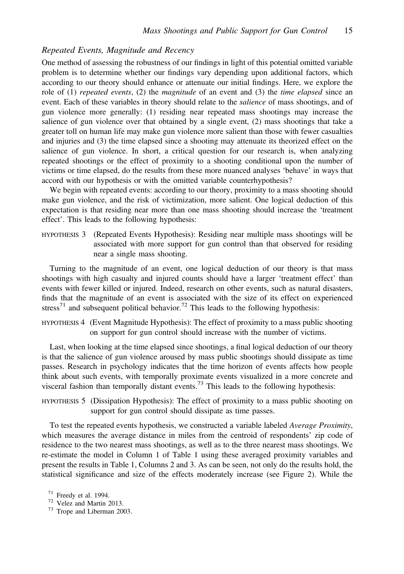## Repeated Events, Magnitude and Recency

One method of assessing the robustness of our findings in light of this potential omitted variable problem is to determine whether our findings vary depending upon additional factors, which according to our theory should enhance or attenuate our initial findings. Here, we explore the role of  $(1)$  repeated events,  $(2)$  the magnitude of an event and  $(3)$  the time elapsed since an event. Each of these variables in theory should relate to the *salience* of mass shootings, and of gun violence more generally: (1) residing near repeated mass shootings may increase the salience of gun violence over that obtained by a single event, (2) mass shootings that take a greater toll on human life may make gun violence more salient than those with fewer casualties and injuries and (3) the time elapsed since a shooting may attenuate its theorized effect on the salience of gun violence. In short, a critical question for our research is, when analyzing repeated shootings or the effect of proximity to a shooting conditional upon the number of victims or time elapsed, do the results from these more nuanced analyses 'behave' in ways that accord with our hypothesis or with the omitted variable counterhypothesis?

We begin with repeated events: according to our theory, proximity to a mass shooting should make gun violence, and the risk of victimization, more salient. One logical deduction of this expectation is that residing near more than one mass shooting should increase the 'treatment effect'. This leads to the following hypothesis:

HYPOTHESIS 3 (Repeated Events Hypothesis): Residing near multiple mass shootings will be associated with more support for gun control than that observed for residing near a single mass shooting.

Turning to the magnitude of an event, one logical deduction of our theory is that mass shootings with high casualty and injured counts should have a larger 'treatment effect' than events with fewer killed or injured. Indeed, research on other events, such as natural disasters, finds that the magnitude of an event is associated with the size of its effect on experienced stress<sup>71</sup> and subsequent political behavior.<sup>72</sup> This leads to the following hypothesis:

HYPOTHESIS 4 (Event Magnitude Hypothesis): The effect of proximity to a mass public shooting on support for gun control should increase with the number of victims.

Last, when looking at the time elapsed since shootings, a final logical deduction of our theory is that the salience of gun violence aroused by mass public shootings should dissipate as time passes. Research in psychology indicates that the time horizon of events affects how people think about such events, with temporally proximate events visualized in a more concrete and visceral fashion than temporally distant events.<sup>73</sup> This leads to the following hypothesis:

HYPOTHESIS 5 (Dissipation Hypothesis): The effect of proximity to a mass public shooting on support for gun control should dissipate as time passes.

To test the repeated events hypothesis, we constructed a variable labeled *Average Proximity*, which measures the average distance in miles from the centroid of respondents' zip code of residence to the two nearest mass shootings, as well as to the three nearest mass shootings. We re-estimate the model in Column 1 of Table 1 using these averaged proximity variables and present the results in Table 1, Columns 2 and 3. As can be seen, not only do the results hold, the statistical significance and size of the effects moderately increase (see [Figure 2\)](#page-12-0). While the

<sup>&</sup>lt;sup>71</sup> Freedy et al. [1994.](#page-24-0)<br><sup>72</sup> Velez and Martin [2013.](#page-26-0)<br><sup>73</sup> Trope and Liberman [2003](#page-26-0).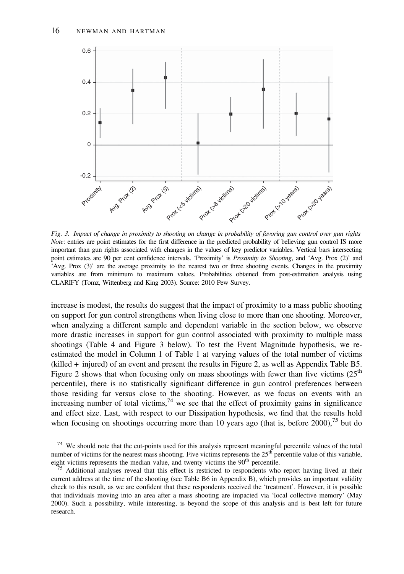<span id="page-15-0"></span>

Fig. 3. Impact of change in proximity to shooting on change in probability of favoring gun control over gun rights Note: entries are point estimates for the first difference in the predicted probability of believing gun control IS more important than gun rights associated with changes in the values of key predictor variables. Vertical bars intersecting point estimates are 90 per cent confidence intervals. 'Proximity' is Proximity to Shooting, and 'Avg. Prox (2)' and 'Avg. Prox (3)' are the average proximity to the nearest two or three shooting events. Changes in the proximity variables are from minimum to maximum values. Probabilities obtained from post-estimation analysis using CLARIFY (Tomz, Wittenberg and King [2003](#page-26-0)). Source: 2010 Pew Survey.

increase is modest, the results do suggest that the impact of proximity to a mass public shooting on support for gun control strengthens when living close to more than one shooting. Moreover, when analyzing a different sample and dependent variable in the section below, we observe more drastic increases in support for gun control associated with proximity to multiple mass shootings (Table 4 and Figure 3 below). To test the Event Magnitude hypothesis, we reestimated the model in Column 1 of Table 1 at varying values of the total number of victims (killed + injured) of an event and present the results in [Figure 2](#page-12-0), as well as Appendix Table B5. [Figure 2](#page-12-0) shows that when focusing only on mass shootings with fewer than five victims  $(25<sup>th</sup>$ percentile), there is no statistically significant difference in gun control preferences between those residing far versus close to the shooting. However, as we focus on events with an increasing number of total victims,<sup>74</sup> we see that the effect of proximity gains in significance and effect size. Last, with respect to our Dissipation hypothesis, we find that the results hold when focusing on shootings occurring more than 10 years ago (that is, before  $2000$ ),<sup>75</sup> but do

<sup>&</sup>lt;sup>74</sup> We should note that the cut-points used for this analysis represent meaningful percentile values of the total number of victims for the nearest mass shooting. Five victims represents the  $25<sup>th</sup>$  percentile value of this variable, eight victims represents the median value, and twenty victims the  $90<sup>th</sup>$  percentile.

 $\frac{75}{15}$  Additional analyses reveal that this effect is restricted to respondents who report having lived at their current address at the time of the shooting (see Table B6 in Appendix B), which provides an important validity check to this result, as we are confident that these respondents received the 'treatment'. However, it is possible that individuals moving into an area after a mass shooting are impacted via 'local collective memory' (May [2000](#page-25-0)). Such a possibility, while interesting, is beyond the scope of this analysis and is best left for future research.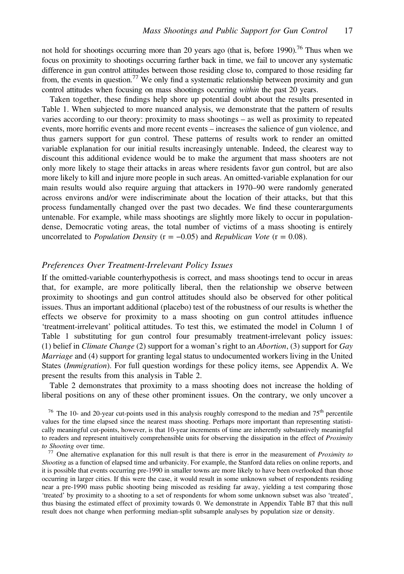not hold for shootings occurring more than 20 years ago (that is, before 1990).<sup>76</sup> Thus when we focus on proximity to shootings occurring farther back in time, we fail to uncover any systematic difference in gun control attitudes between those residing close to, compared to those residing far from, the events in question.<sup>77</sup> We only find a systematic relationship between proximity and gun control attitudes when focusing on mass shootings occurring *within* the past 20 years.

Taken together, these findings help shore up potential doubt about the results presented in Table 1. When subjected to more nuanced analysis, we demonstrate that the pattern of results varies according to our theory: proximity to mass shootings – as well as proximity to repeated events, more horrific events and more recent events – increases the salience of gun violence, and thus garners support for gun control. These patterns of results work to render an omitted variable explanation for our initial results increasingly untenable. Indeed, the clearest way to discount this additional evidence would be to make the argument that mass shooters are not only more likely to stage their attacks in areas where residents favor gun control, but are also more likely to kill and injure more people in such areas. An omitted-variable explanation for our main results would also require arguing that attackers in 1970–90 were randomly generated across environs and/or were indiscriminate about the location of their attacks, but that this process fundamentally changed over the past two decades. We find these counterarguments untenable. For example, while mass shootings are slightly more likely to occur in populationdense, Democratic voting areas, the total number of victims of a mass shooting is entirely uncorrelated to *Population Density* ( $r = -0.05$ ) and *Republican Vote* ( $r = 0.08$ ).

## Preferences Over Treatment-Irrelevant Policy Issues

If the omitted-variable counterhypothesis is correct, and mass shootings tend to occur in areas that, for example, are more politically liberal, then the relationship we observe between proximity to shootings and gun control attitudes should also be observed for other political issues. Thus an important additional (placebo) test of the robustness of our results is whether the effects we observe for proximity to a mass shooting on gun control attitudes influence 'treatment-irrelevant' political attitudes. To test this, we estimated the model in Column 1 of Table 1 substituting for gun control four presumably treatment-irrelevant policy issues: (1) belief in *Climate Change* (2) support for a woman's right to an *Abortion*, (3) support for *Gay* Marriage and (4) support for granting legal status to undocumented workers living in the United States (Immigration). For full question wordings for these policy items, see Appendix A. We present the results from this analysis in Table 2.

Table 2 demonstrates that proximity to a mass shooting does not increase the holding of liberal positions on any of these other prominent issues. On the contrary, we only uncover a

 $76$  The 10- and 20-year cut-points used in this analysis roughly correspond to the median and  $75<sup>th</sup>$  percentile values for the time elapsed since the nearest mass shooting. Perhaps more important than representing statistically meaningful cut-points, however, is that 10-year increments of time are inherently substantively meaningful to readers and represent intuitively comprehensible units for observing the dissipation in the effect of *Proximity* to Shooting over time.<br><sup>77</sup> One alternative explanation for this null result is that there is error in the measurement of *Proximity to* 

Shooting as a function of elapsed time and urbanicity. For example, the Stanford data relies on online reports, and it is possible that events occurring pre-1990 in smaller towns are more likely to have been overlooked than those occurring in larger cities. If this were the case, it would result in some unknown subset of respondents residing near a pre-1990 mass public shooting being miscoded as residing far away, yielding a test comparing those 'treated' by proximity to a shooting to a set of respondents for whom some unknown subset was also 'treated', thus biasing the estimated effect of proximity towards 0. We demonstrate in Appendix Table B7 that this null result does not change when performing median-split subsample analyses by population size or density.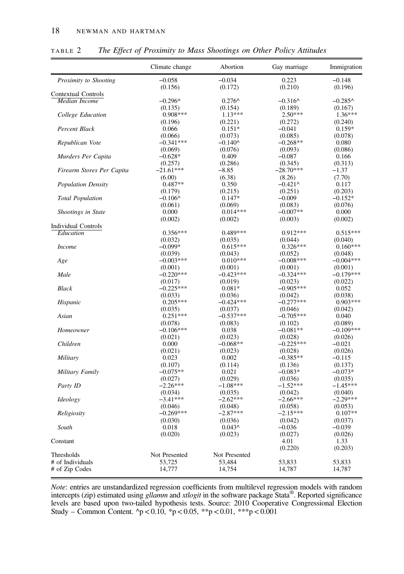|                            | Climate change       | Abortion              | Gay marriage          | Immigration           |
|----------------------------|----------------------|-----------------------|-----------------------|-----------------------|
| Proximity to Shooting      | $-0.058$             | $-0.034$              | 0.223                 | $-0.148$              |
|                            | (0.156)              | (0.172)               | (0.210)               | (0.196)               |
| Contextual Controls        |                      |                       |                       |                       |
| Median Income              | $-0.296*$            | $0.276^$              | $-0.316^$             | $-0.285^{\wedge}$     |
|                            | (0.135)              | (0.154)               | (0.189)               | (0.167)               |
| College Education          | $0.908***$           | $1.13***$             | $2.50***$             | $1.36***$             |
|                            | (0.196)              | (0.221)               | (0.272)               | (0.240)               |
| Percent Black              | 0.066                | $0.151*$              | $-0.041$              | $0.159*$              |
|                            | (0.066)              | (0.073)               | (0.085)               | (0.078)               |
| Republican Vote            | $-0.341***$          | $-0.140^{\circ}$      | $-0.268**$            | 0.080                 |
|                            | (0.069)              | (0.076)               | (0.093)               | (0.086)               |
| Murders Per Capita         | $-0.628*$            | 0.409                 | $-0.087$              | 0.166                 |
|                            | (0.257)              | (0.286)               | (0.345)               | (0.313)               |
| Firearm Stores Per Capita  | $-21.61***$          | $-8.85$               | $-28.70***$           | $-1.37$               |
|                            | (6.00)               | (6.38)                | (8.26)                | (7.70)                |
| <b>Population Density</b>  | $0.487**$            | 0.350                 | $-0.421^$             | 0.117                 |
|                            | (0.179)              | (0.215)               | (0.251)               | (0.203)               |
| <b>Total Population</b>    | $-0.106^$            | $0.147*$              | $-0.009$              | $-0.152*$             |
|                            | (0.061)              | (0.069)               | (0.083)               | (0.076)               |
| Shootings in State         | 0.000                | $0.014***$            | $-0.007**$            | 0.000                 |
|                            | (0.002)              | (0.002)               | (0.003)               | (0.002)               |
| <b>Individual Controls</b> |                      |                       |                       |                       |
| Education                  | $0.356***$           | 0.489***              | $0.912***$            | $0.515***$            |
|                            |                      |                       |                       |                       |
| <b>Income</b>              | (0.032)<br>$-0.099*$ | (0.035)<br>$0.615***$ | (0.044)<br>$0.326***$ | (0.040)<br>$0.160***$ |
|                            |                      |                       |                       |                       |
|                            | (0.039)              | (0.043)               | (0.052)               | (0.048)               |
| Age                        | $-0.003***$          | $0.010***$            | $-0.008***$           | $-0.004***$           |
|                            | (0.001)              | (0.001)               | (0.001)               | (0.001)               |
| Male                       | $-0.220***$          | $-0.423***$           | $-0.324***$           | $-0.179***$           |
|                            | (0.017)              | (0.019)               | (0.023)               | (0.022)               |
| <b>Black</b>               | $-0.225***$          | $0.081*$              | $-0.905***$           | 0.052                 |
|                            | (0.033)              | (0.036)               | (0.042)               | (0.038)               |
| Hispanic                   | $0.205***$           | $-0.424***$           | $-0.277***$           | $0.903***$            |
|                            | (0.035)              | (0.037)               | (0.046)               | (0.042)               |
| Asian                      | $0.251***$           | $-0.537***$           | $-0.705***$           | 0.040                 |
|                            | (0.078)              | (0.083)               | (0.102)               | (0.089)               |
| Homeowner                  | $-0.106***$          | 0.038                 | $-0.081**$            | $-0.109***$           |
|                            | (0.021)              | (0.023)               | (0.028)               | (0.026)               |
| Children                   | 0.000                | $-0.068**$            | $-0.225***$           | $-0.021$              |
|                            | (0.021)              | (0.023)               | (0.028)               | (0.026)               |
| Military                   | 0.023                | 0.002                 | $-0.385**$            | $-0.115$              |
|                            | (0.107)              | (0.114)               | (0.136)               | (0.137)               |
| Military Family            | $-0.075**$           | 0.021                 | $-0.083*$             | $-0.073*$             |
|                            | (0.027)              | (0.029)               | (0.036)               | (0.035)               |
| Party ID                   | $-2.26***$           | $-1.08***$            | $-1.52***$            | $-1.45***$            |
|                            | (0.034)              | (0.035)               | (0.042)               | (0.040)               |
| Ideology                   | $-3.41***$           | $-2.62***$            | $-2.66***$            | $-2.29***$            |
|                            | (0.046)              | (0.048)               | (0.058)               | (0.053)               |
|                            | $-0.269***$          | $-2.87***$            | $-2.15***$            | $0.107**$             |
| Religiosity                | (0.030)              | (0.036)               | (0.042)               | (0.037)               |
|                            |                      |                       |                       |                       |
| South                      | 0.018                | $0.043^$              | $-0.036$              | $-0.039$              |
|                            | (0.020)              | (0.023)               | (0.027)               | (0.026)               |
| Constant                   |                      |                       | 4.01                  | 1.33                  |
|                            |                      |                       | (0.220)               | (0.203)               |
| Thresholds                 | Not Presented        | Not Presented         |                       |                       |
| # of Individuals           | 53,725               | 53,484                | 53,833                | 53,833                |
| # of Zip Codes             | 14,777               | 14,754                | 14,787                | 14,787                |

TABLE 2 The Effect of Proximity to Mass Shootings on Other Policy Attitudes

Note: entries are unstandardized regression coefficients from multilevel regression models with random intercepts (zip) estimated using *gllamm* and xtlogit in the software package Stata®. Reported significance levels are based upon two-tailed hypothesis tests. Source: 2010 Cooperative Congressional Election Study – Common Content.  $\gamma p < 0.10$ , \*p $< 0.05$ , \*\*p $< 0.01$ , \*\*\*p $< 0.001$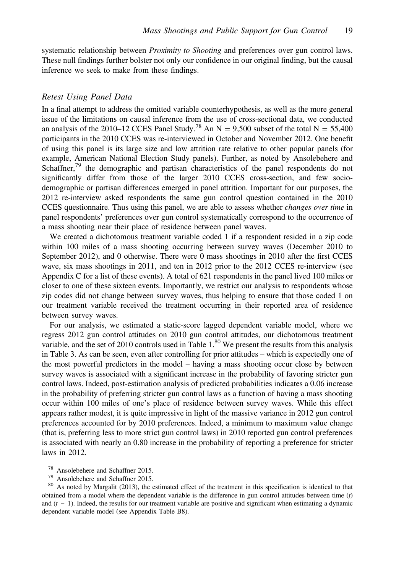systematic relationship between *Proximity to Shooting* and preferences over gun control laws. These null findings further bolster not only our confidence in our original finding, but the causal inference we seek to make from these findings.

## Retest Using Panel Data

In a final attempt to address the omitted variable counterhypothesis, as well as the more general issue of the limitations on causal inference from the use of cross-sectional data, we conducted an analysis of the 2010–12 CCES Panel Study.<sup>78</sup> An N = 9,500 subset of the total N = 55,400 participants in the 2010 CCES was re-interviewed in October and November 2012. One benefit of using this panel is its large size and low attrition rate relative to other popular panels (for example, American National Election Study panels). Further, as noted by Ansolebehere and Schaffner,<sup>79</sup> the demographic and partisan characteristics of the panel respondents do not significantly differ from those of the larger 2010 CCES cross-section, and few sociodemographic or partisan differences emerged in panel attrition. Important for our purposes, the 2012 re-interview asked respondents the same gun control question contained in the 2010 CCES questionnaire. Thus using this panel, we are able to assess whether changes over time in panel respondents' preferences over gun control systematically correspond to the occurrence of a mass shooting near their place of residence between panel waves.

We created a dichotomous treatment variable coded 1 if a respondent resided in a zip code within 100 miles of a mass shooting occurring between survey waves (December 2010 to September 2012), and 0 otherwise. There were 0 mass shootings in 2010 after the first CCES wave, six mass shootings in 2011, and ten in 2012 prior to the 2012 CCES re-interview (see Appendix C for a list of these events). A total of 621 respondents in the panel lived 100 miles or closer to one of these sixteen events. Importantly, we restrict our analysis to respondents whose zip codes did not change between survey waves, thus helping to ensure that those coded 1 on our treatment variable received the treatment occurring in their reported area of residence between survey waves.

For our analysis, we estimated a static-score lagged dependent variable model, where we regress 2012 gun control attitudes on 2010 gun control attitudes, our dichotomous treatment variable, and the set of 2010 controls used in Table 1.<sup>80</sup> We present the results from this analysis in Table 3. As can be seen, even after controlling for prior attitudes – which is expectedly one of the most powerful predictors in the model – having a mass shooting occur close by between survey waves is associated with a significant increase in the probability of favoring stricter gun control laws. Indeed, post-estimation analysis of predicted probabilities indicates a 0.06 increase in the probability of preferring stricter gun control laws as a function of having a mass shooting occur within 100 miles of one's place of residence between survey waves. While this effect appears rather modest, it is quite impressive in light of the massive variance in 2012 gun control preferences accounted for by 2010 preferences. Indeed, a minimum to maximum value change (that is, preferring less to more strict gun control laws) in 2010 reported gun control preferences is associated with nearly an 0.80 increase in the probability of reporting a preference for stricter laws in 2012.

<sup>78</sup> Ansolebehere and Schaffner [2015](#page-25-0).<br><sup>79</sup> Ansolebehere and Schaffner 2015.<br><sup>80</sup> As noted by Margalit [\(2013](#page-25-0)), the estimated effect of the treatment in this specification is identical to that obtained from a model where the dependent variable is the difference in gun control attitudes between time (t) and  $(t - 1)$ . Indeed, the results for our treatment variable are positive and significant when estimating a dynamic dependent variable model (see Appendix Table B8).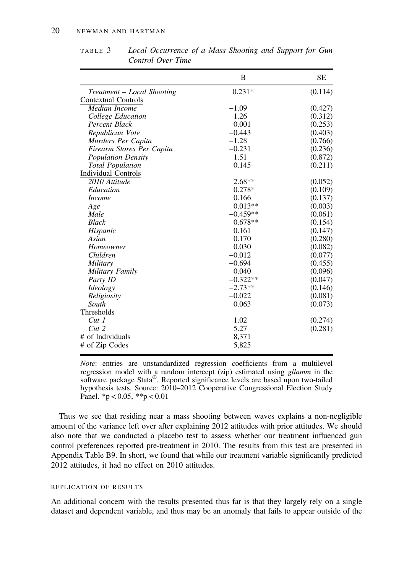|                            | B          | <b>SE</b> |
|----------------------------|------------|-----------|
| Treatment - Local Shooting | $0.231*$   | (0.114)   |
| <b>Contextual Controls</b> |            |           |
| Median Income              | $-1.09$    | (0.427)   |
| College Education          | 1.26       | (0.312)   |
| Percent Black              | 0.001      | (0.253)   |
| Republican Vote            | $-0.443$   | (0.403)   |
| Murders Per Capita         | $-1.28$    | (0.766)   |
| Firearm Stores Per Capita  | $-0.231$   | (0.236)   |
| <b>Population Density</b>  | 1.51       | (0.872)   |
| <b>Total Population</b>    | 0.145      | (0.211)   |
| <b>Individual Controls</b> |            |           |
| 2010 Attitude              | $2.68**$   | (0.052)   |
| Education                  | $0.278*$   | (0.109)   |
| <i>Income</i>              | 0.166      | (0.137)   |
| Age                        | $0.013**$  | (0.003)   |
| Male                       | $-0.459**$ | (0.061)   |
| Black                      | $0.678**$  | (0.154)   |
| Hispanic                   | 0.161      | (0.147)   |
| Asian                      | 0.170      | (0.280)   |
| Homeowner                  | 0.030      | (0.082)   |
| Children                   | $-0.012$   | (0.077)   |
| Military                   | $-0.694$   | (0.455)   |
| Military Family            | 0.040      | (0.096)   |
| Party ID                   | $-0.322**$ | (0.047)   |
| Ideology                   | $-2.73**$  | (0.146)   |
| Religiosity                | $-0.022$   | (0.081)   |
| South                      | 0.063      | (0.073)   |
| Thresholds                 |            |           |
| Cut1                       | 1.02       | (0.274)   |
| $Cut$ 2                    | 5.27       | (0.281)   |
| # of Individuals           | 8,371      |           |
| # of Zip Codes             | 5,825      |           |

TABLE 3 Local Occurrence of a Mass Shooting and Support for Gun Control Over Time

Note: entries are unstandardized regression coefficients from a multilevel regression model with a random intercept (zip) estimated using gllamm in the software package Stata®. Reported significance levels are based upon two-tailed hypothesis tests. Source: 2010–2012 Cooperative Congressional Election Study Panel.  $*$ p < 0.05,  $*$  $*$ p < 0.01

Thus we see that residing near a mass shooting between waves explains a non-negligible amount of the variance left over after explaining 2012 attitudes with prior attitudes. We should also note that we conducted a placebo test to assess whether our treatment influenced gun control preferences reported pre-treatment in 2010. The results from this test are presented in Appendix Table B9. In short, we found that while our treatment variable significantly predicted 2012 attitudes, it had no effect on 2010 attitudes.

## REPLICATION OF RESULTS

An additional concern with the results presented thus far is that they largely rely on a single dataset and dependent variable, and thus may be an anomaly that fails to appear outside of the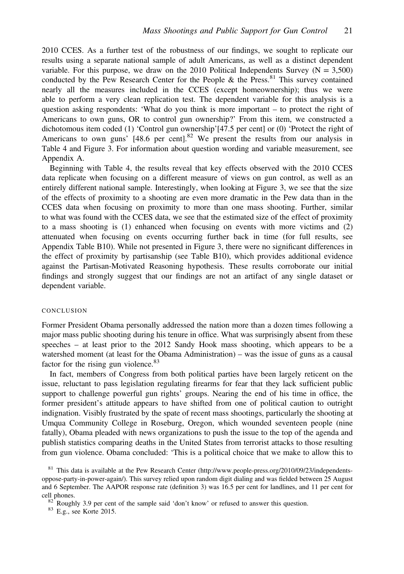2010 CCES. As a further test of the robustness of our findings, we sought to replicate our results using a separate national sample of adult Americans, as well as a distinct dependent variable. For this purpose, we draw on the 2010 Political Independents Survey ( $N = 3.500$ ) conducted by the Pew Research Center for the People  $\&$  the Press.<sup>81</sup> This survey contained nearly all the measures included in the CCES (except homeownership); thus we were able to perform a very clean replication test. The dependent variable for this analysis is a question asking respondents: 'What do you think is more important – to protect the right of Americans to own guns, OR to control gun ownership?' From this item, we constructed a dichotomous item coded  $(1)$  'Control gun ownership' [47.5 per cent] or  $(0)$  'Protect the right of Americans to own guns'  $[48.6$  per cent].<sup>82</sup> We present the results from our analysis in Table 4 and [Figure 3.](#page-15-0) For information about question wording and variable measurement, see Appendix A.

Beginning with Table 4, the results reveal that key effects observed with the 2010 CCES data replicate when focusing on a different measure of views on gun control, as well as an entirely different national sample. Interestingly, when looking at [Figure 3,](#page-15-0) we see that the size of the effects of proximity to a shooting are even more dramatic in the Pew data than in the CCES data when focusing on proximity to more than one mass shooting. Further, similar to what was found with the CCES data, we see that the estimated size of the effect of proximity to a mass shooting is (1) enhanced when focusing on events with more victims and (2) attenuated when focusing on events occurring further back in time (for full results, see Appendix Table B10). While not presented in [Figure 3](#page-15-0), there were no significant differences in the effect of proximity by partisanship (see Table B10), which provides additional evidence against the Partisan-Motivated Reasoning hypothesis. These results corroborate our initial findings and strongly suggest that our findings are not an artifact of any single dataset or dependent variable.

#### CONCLUSION

Former President Obama personally addressed the nation more than a dozen times following a major mass public shooting during his tenure in office. What was surprisingly absent from these speeches – at least prior to the 2012 Sandy Hook mass shooting, which appears to be a watershed moment (at least for the Obama Administration) – was the issue of guns as a causal factor for the rising gun violence. $83$ 

In fact, members of Congress from both political parties have been largely reticent on the issue, reluctant to pass legislation regulating firearms for fear that they lack sufficient public support to challenge powerful gun rights' groups. Nearing the end of his time in office, the former president's attitude appears to have shifted from one of political caution to outright indignation. Visibly frustrated by the spate of recent mass shootings, particularly the shooting at Umqua Community College in Roseburg, Oregon, which wounded seventeen people (nine fatally), Obama pleaded with news organizations to push the issue to the top of the agenda and publish statistics comparing deaths in the United States from terrorist attacks to those resulting from gun violence. Obama concluded: 'This is a political choice that we make to allow this to

 $81$  This data is available at the Pew Research Center ([http://www.people-press.org/2010/09/23/independents](http://www.people-press.org/2010�/�09/23/independents-oppose-party-in-power-again/)[oppose-party-in-power-again/\)](http://www.people-press.org/2010�/�09/23/independents-oppose-party-in-power-again/). This survey relied upon random digit dialing and was fielded between 25 August and 6 September. The AAPOR response rate (definition 3) was 16.5 per cent for landlines, and 11 per cent for cell phones. <sup>82</sup> Roughly 3.9 per cent of the sample said 'don't know' or refused to answer this question. <sup>83</sup> E.g., see Korte [2015.](#page-24-0)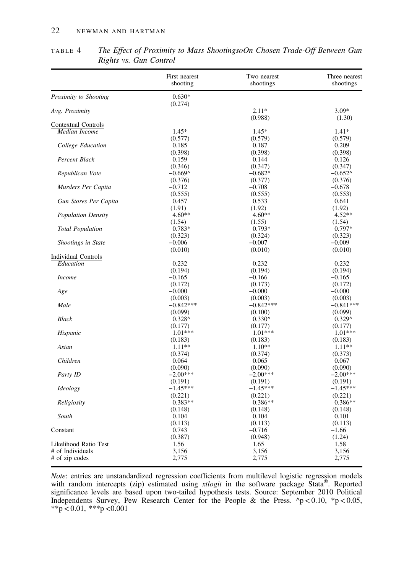## 22 NEWMAN AND HARTMAN

|                            | First nearest<br>shooting | Two nearest<br>shootings | Three nearest<br>shootings |
|----------------------------|---------------------------|--------------------------|----------------------------|
| Proximity to Shooting      | $0.630*$                  |                          |                            |
|                            | (0.274)                   |                          |                            |
| Avg. Proximity             |                           | $2.11*$<br>(0.988)       | $3.09*$<br>(1.30)          |
| <b>Contextual Controls</b> |                           |                          |                            |
| Median Income              | $1.45*$                   | $1.45*$                  | $1.41*$                    |
|                            | (0.577)                   | (0.579)                  | (0.579)                    |
| College Education          | 0.185                     | 0.187                    | 0.209                      |
|                            | (0.398)                   | (0.398)                  | (0.398)                    |
| <b>Percent Black</b>       | 0.159                     | 0.144                    | 0.126                      |
|                            | (0.346)                   | (0.347)                  | (0.347)                    |
| Republican Vote            | $-0.669^$                 | $-0.682^$                | $-0.6520$                  |
|                            | (0.376)                   | (0.377)                  | (0.376)                    |
| Murders Per Capita         | $-0.712$                  | $-0.708$                 | $-0.678$                   |
|                            | (0.555)                   | (0.555)                  | (0.553)                    |
| Gun Stores Per Capita      | 0.457                     | 0.533                    | 0.641                      |
|                            | (1.91)                    | (1.92)                   | (1.92)                     |
| <b>Population Density</b>  | $4.60**$                  | $4.60**$                 | $4.52**$                   |
|                            | (1.54)                    | (1.55)                   | (1.54)                     |
| <b>Total Population</b>    | $0.783*$                  | $0.793*$                 | $0.797*$                   |
|                            | (0.323)                   | (0.324)                  | (0.323)                    |
| Shootings in State         | $-0.006$                  | $-0.007$                 | $-0.009$                   |
|                            | (0.010)                   | (0.010)                  | (0.010)                    |
| <b>Individual Controls</b> |                           |                          |                            |
| Education                  | 0.232                     | 0.232                    | 0.232                      |
|                            | (0.194)                   | (0.194)                  | (0.194)                    |
| <b>Income</b>              | $-0.165$                  | $-0.166$                 | $-0.165$                   |
|                            | (0.172)                   | (0.173)                  | (0.172)                    |
| Age                        | $-0.000$                  | $-0.000$                 | $-0.000$                   |
|                            | (0.003)                   | (0.003)                  | (0.003)                    |
| Male                       | $-0.842***$               | $-0.842***$              | $-0.841***$                |
|                            | (0.099)                   | (0.100)                  | (0.099)                    |
| <b>Black</b>               | $0.328^{\wedge}$          | $0.330^$                 | $0.329^$                   |
|                            | (0.177)                   | (0.177)                  | (0.177)                    |
| Hispanic                   | $1.01***$                 | $1.01***$                | $1.01***$                  |
|                            | (0.183)                   | (0.183)                  | (0.183)                    |
| Asian                      | $1.11**$                  | $1.10**$                 | $1.11**$                   |
|                            | (0.374)                   | (0.374)                  | (0.373)                    |
| Children                   | 0.064                     | 0.065                    | 0.067                      |
|                            | (0.090)                   | (0.090)                  | (0.090)                    |
| Party ID                   | $-2.00***$                | $-2.00***$               | $-2.00***$                 |
|                            | (0.191)                   | (0.191)                  | (0.191)                    |
| <i>Ideology</i>            | $-1.45***$                | $-1.45***$               | $-1.45***$                 |
|                            | (0.221)                   | (0.221)                  | (0.221)                    |
| Religiosity                | $0.383**$                 | $0.386**$                | $0.386**$                  |
|                            | (0.148)                   | (0.148)                  | (0.148)                    |
| South                      | 0.104                     | 0.104                    | 0.101                      |
|                            | (0.113)                   | (0.113)                  | (0.113)                    |
| Constant                   | 0.743                     | $-0.716$                 | $-1.66$                    |
|                            | (0.387)                   | (0.948)                  | (1.24)                     |
| Likelihood Ratio Test      | 1.56                      | 1.65                     | 1.58                       |
| # of Individuals           | 3,156                     | 3,156                    | 3,156                      |
| # of zip codes             | 2,775                     | 2,775                    | 2,775                      |

TABLE 4 The Effect of Proximity to Mass ShootingsoOn Chosen Trade-Off Between Gun Rights vs. Gun Control

Note: entries are unstandardized regression coefficients from multilevel logistic regression models with random intercepts (zip) estimated using  $xtlogit$  in the software package Stata®. Reported significance levels are based upon two-tailed hypothesis tests. Source: September 2010 Political Independents Survey, Pew Research Center for the People & the Press.  $\gamma$  < 0.10, \*p < 0.05, \*\*p < 0.01, \*\*\*p < 0.001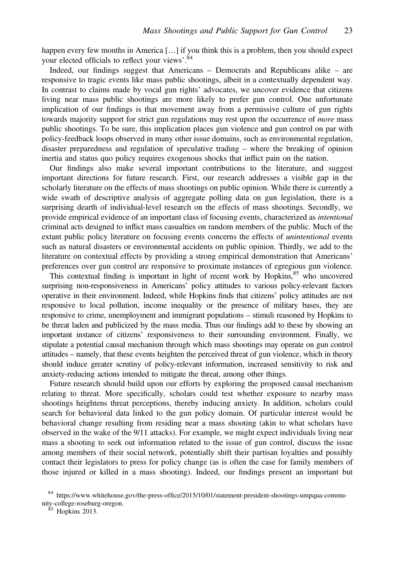happen every few months in America [...] if you think this is a problem, then you should expect your elected officials to reflect your views'.<sup>84</sup>

Indeed, our findings suggest that Americans – Democrats and Republicans alike – are responsive to tragic events like mass public shootings, albeit in a contextually dependent way. In contrast to claims made by vocal gun rights' advocates, we uncover evidence that citizens living near mass public shootings are more likely to prefer gun control. One unfortunate implication of our findings is that movement away from a permissive culture of gun rights towards majority support for strict gun regulations may rest upon the occurrence of *more* mass public shootings. To be sure, this implication places gun violence and gun control on par with policy-feedback loops observed in many other issue domains, such as environmental regulation, disaster preparedness and regulation of speculative trading – where the breaking of opinion inertia and status quo policy requires exogenous shocks that inflict pain on the nation.

Our findings also make several important contributions to the literature, and suggest important directions for future research. First, our research addresses a visible gap in the scholarly literature on the effects of mass shootings on public opinion. While there is currently a wide swath of descriptive analysis of aggregate polling data on gun legislation, there is a surprising dearth of individual-level research on the effects of mass shootings. Secondly, we provide empirical evidence of an important class of focusing events, characterized as intentional criminal acts designed to inflict mass casualties on random members of the public. Much of the extant public policy literature on focusing events concerns the effects of *unintentional* events such as natural disasters or environmental accidents on public opinion. Thirdly, we add to the literature on contextual effects by providing a strong empirical demonstration that Americans' preferences over gun control are responsive to proximate instances of egregious gun violence.

This contextual finding is important in light of recent work by Hopkins, $85$  who uncovered surprising non-responsiveness in Americans' policy attitudes to various policy-relevant factors operative in their environment. Indeed, while Hopkins finds that citizens' policy attitudes are not responsive to local pollution, income inequality or the presence of military bases, they are responsive to crime, unemployment and immigrant populations – stimuli reasoned by Hopkins to be threat laden and publicized by the mass media. Thus our findings add to these by showing an important instance of citizens' responsiveness to their surrounding environment. Finally, we stipulate a potential causal mechanism through which mass shootings may operate on gun control attitudes – namely, that these events heighten the perceived threat of gun violence, which in theory should induce greater scrutiny of policy-relevant information, increased sensitivity to risk and anxiety-reducing actions intended to mitigate the threat, among other things.

Future research should build upon our efforts by exploring the proposed causal mechanism relating to threat. More specifically, scholars could test whether exposure to nearby mass shootings heightens threat perceptions, thereby inducing anxiety. In addition, scholars could search for behavioral data linked to the gun policy domain. Of particular interest would be behavioral change resulting from residing near a mass shooting (akin to what scholars have observed in the wake of the 9/11 attacks). For example, we might expect individuals living near mass a shooting to seek out information related to the issue of gun control, discuss the issue among members of their social network, potentially shift their partisan loyalties and possibly contact their legislators to press for policy change (as is often the case for family members of those injured or killed in a mass shooting). Indeed, our findings present an important but

<sup>&</sup>lt;sup>84</sup> https://www.whitehouse.gov/the-press-offi[ce/2015/10/01/statement-president-shootings-umpqua-commu](https://www.whitehouse.gov/the-press-office/2015�/�10/01/statement-president-shootings-umpqua-community-college-roseburg-oregon)[nity-college-roseburg-oregon](https://www.whitehouse.gov/the-press-office/2015�/�10/01/statement-president-shootings-umpqua-community-college-roseburg-oregon).<br><sup>85</sup> Hopkins [2013](#page-24-0).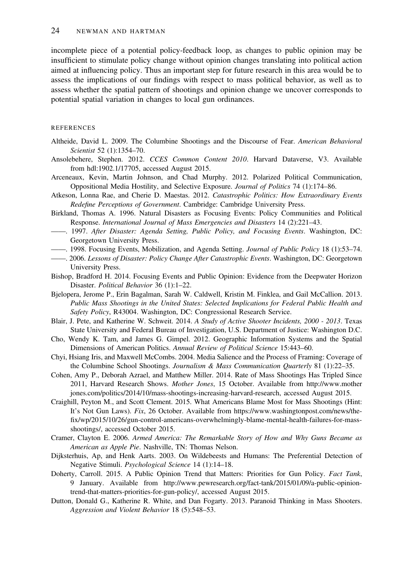<span id="page-23-0"></span>incomplete piece of a potential policy-feedback loop, as changes to public opinion may be insufficient to stimulate policy change without opinion changes translating into political action aimed at influencing policy. Thus an important step for future research in this area would be to assess the implications of our findings with respect to mass political behavior, as well as to assess whether the spatial pattern of shootings and opinion change we uncover corresponds to potential spatial variation in changes to local gun ordinances.

#### REFERENCES

- Altheide, David L. 2009. The Columbine Shootings and the Discourse of Fear. American Behavioral Scientist 52 (1):1354–70.
- Ansolebehere, Stephen. 2012. CCES Common Content 2010. Harvard Dataverse, V3. Available from hdl:1902.1/17705, accessed August 2015.
- Arceneaux, Kevin, Martin Johnson, and Chad Murphy. 2012. Polarized Political Communication, Oppositional Media Hostility, and Selective Exposure. Journal of Politics 74 (1):174–86.
- Atkeson, Lonna Rae, and Cherie D. Maestas. 2012. Catastrophic Politics: How Extraordinary Events Redefine Perceptions of Government. Cambridge: Cambridge University Press.
- Birkland, Thomas A. 1996. Natural Disasters as Focusing Events: Policy Communities and Political Response. International Journal of Mass Emergencies and Disasters 14 (2):221–43.
- ——. 1997. After Disaster: Agenda Setting, Public Policy, and Focusing Events. Washington, DC: Georgetown University Press.
- ——. 1998. Focusing Events, Mobilization, and Agenda Setting. Journal of Public Policy 18 (1):53–74.
- ——. 2006. Lessons of Disaster: Policy Change After Catastrophic Events. Washington, DC: Georgetown University Press.
- Bishop, Bradford H. 2014. Focusing Events and Public Opinion: Evidence from the Deepwater Horizon Disaster. Political Behavior 36 (1):1–22.
- Bjelopera, Jerome P., Erin Bagalman, Sarah W. Caldwell, Kristin M. Finklea, and Gail McCallion. 2013. Public Mass Shootings in the United States: Selected Implications for Federal Public Health and Safety Policy, R43004. Washington, DC: Congressional Research Service.
- Blair, J. Pete, and Katherine W. Schweit. 2014. A Study of Active Shooter Incidents, 2000 2013. Texas State University and Federal Bureau of Investigation, U.S. Department of Justice: Washington D.C.
- Cho, Wendy K. Tam, and James G. Gimpel. 2012. Geographic Information Systems and the Spatial Dimensions of American Politics. Annual Review of Political Science 15:443–60.
- Chyi, Hsiang Iris, and Maxwell McCombs. 2004. Media Salience and the Process of Framing: Coverage of the Columbine School Shootings. Journalism & Mass Communication Quarterly 81 (1):22–35.
- Cohen, Amy P., Deborah Azrael, and Matthew Miller. 2014. Rate of Mass Shootings Has Tripled Since 2011, Harvard Research Shows. Mother Jones, 15 October. Available from [http://www.mother](http://www.motherjones.com/politics/2014�/�10/mass-shootings-increasing-harvard-research) [jones.com/politics/2014/10/mass-shootings-increasing-harvard-research](http://www.motherjones.com/politics/2014�/�10/mass-shootings-increasing-harvard-research), accessed August 2015.
- Craighill, Peyton M., and Scott Clement. 2015. What Americans Blame Most for Mass Shootings (Hint: It's Not Gun Laws). Fix, 26 October. Available from [https://www.washingtonpost.com/news/the](https://www.washingtonpost.com/news/the-fix/wp/2015�/�10/26/gun-control-americans-overwhelmingly-blame-mental-health-failures-for-mass-shootings/)fi[x/wp/2015/10/26/gun-control-americans-overwhelmingly-blame-mental-health-failures-for-mass](https://www.washingtonpost.com/news/the-fix/wp/2015�/�10/26/gun-control-americans-overwhelmingly-blame-mental-health-failures-for-mass-shootings/)[shootings/](https://www.washingtonpost.com/news/the-fix/wp/2015�/�10/26/gun-control-americans-overwhelmingly-blame-mental-health-failures-for-mass-shootings/), accessed October 2015.
- Cramer, Clayton E. 2006. Armed America: The Remarkable Story of How and Why Guns Became as American as Apple Pie. Nashville, TN: Thomas Nelson.
- Dijksterhuis, Ap, and Henk Aarts. 2003. On Wildebeests and Humans: The Preferential Detection of Negative Stimuli. Psychological Science 14 (1):14–18.
- Doherty, Carroll. 2015. A Public Opinion Trend that Matters: Priorities for Gun Policy. Fact Tank, 9 January. Available from [http://www.pewresearch.org/fact-tank/2015/01/09/a-public-opinion](http://www.pewresearch.org/fact-tank/2015�/�01/09/a-public-opinion-trend-that-matters-priorities-for-gun-policy/)[trend-that-matters-priorities-for-gun-policy/,](http://www.pewresearch.org/fact-tank/2015�/�01/09/a-public-opinion-trend-that-matters-priorities-for-gun-policy/) accessed August 2015.
- Dutton, Donald G., Katherine R. White, and Dan Fogarty. 2013. Paranoid Thinking in Mass Shooters. Aggression and Violent Behavior 18 (5):548–53.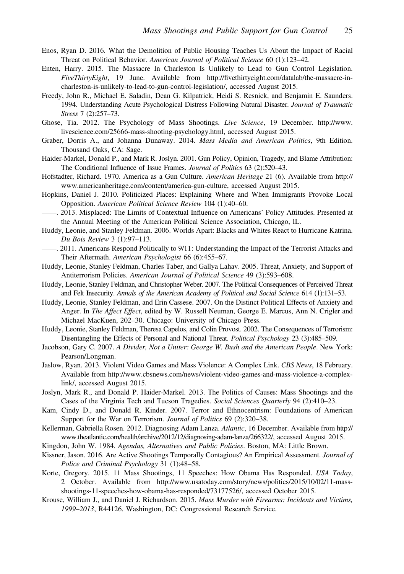- <span id="page-24-0"></span>Enos, Ryan D. 2016. What the Demolition of Public Housing Teaches Us About the Impact of Racial Threat on Political Behavior. American Journal of Political Science 60 (1):123–42.
- Enten, Harry. 2015. The Massacre In Charleston Is Unlikely to Lead to Gun Control Legislation. FiveThirtyEight, 19 June. Available from http://fi[vethirtyeight.com/datalab/the-massacre-in](http://fivethirtyeight.com/datalab/the-massacre-in-charleston-is-unlikely-to-lead-to-gun-control-legislation/)[charleston-is-unlikely-to-lead-to-gun-control-legislation/,](http://fivethirtyeight.com/datalab/the-massacre-in-charleston-is-unlikely-to-lead-to-gun-control-legislation/) accessed August 2015.
- Freedy, John R., Michael E. Saladin, Dean G. Kilpatrick, Heidi S. Resnick, and Benjamin E. Saunders. 1994. Understanding Acute Psychological Distress Following Natural Disaster. Journal of Traumatic Stress 7 (2):257–73.
- Ghose, Tia. 2012. The Psychology of Mass Shootings. Live Science, 19 December. [http://www.](http://www.livescience.com/25666-mass-shooting-psychology.html) [livescience.com/25666-mass-shooting-psychology.html](http://www.livescience.com/25666-mass-shooting-psychology.html), accessed August 2015.
- Graber, Dorris A., and Johanna Dunaway. 2014. Mass Media and American Politics, 9th Edition. Thousand Oaks, CA: Sage.
- Haider-Markel, Donald P., and Mark R. Joslyn. 2001. Gun Policy, Opinion, Tragedy, and Blame Attribution: The Conditional Influence of Issue Frames. Journal of Politics 63 (2):520–43.
- Hofstadter, Richard. 1970. America as a Gun Culture. American Heritage 21 (6). Available from [http://](http://www.americanheritage.com/content/america-gun-culture) [www.americanheritage.com/content/america-gun-culture](http://www.americanheritage.com/content/america-gun-culture), accessed August 2015.
- Hopkins, Daniel J. 2010. Politicized Places: Explaining Where and When Immigrants Provoke Local Opposition. American Political Science Review 104 (1):40–60.
- ——. 2013. Misplaced: The Limits of Contextual Influence on Americans' Policy Attitudes. Presented at the Annual Meeting of the American Political Science Association, Chicago, IL.
- Huddy, Leonie, and Stanley Feldman. 2006. Worlds Apart: Blacks and Whites React to Hurricane Katrina. Du Bois Review 3 (1):97–113.
- ——. 2011. Americans Respond Politically to 9/11: Understanding the Impact of the Terrorist Attacks and Their Aftermath. American Psychologist 66 (6):455–67.
- Huddy, Leonie, Stanley Feldman, Charles Taber, and Gallya Lahav. 2005. Threat, Anxiety, and Support of Antiterrorism Policies. American Journal of Political Science 49 (3):593–608.
- Huddy, Leonie, Stanley Feldman, and Christopher Weber. 2007. The Political Consequences of Perceived Threat and Felt Insecurity. Annals of the American Academy of Political and Social Science 614 (1):131–53.
- Huddy, Leonie, Stanley Feldman, and Erin Cassese. 2007. On the Distinct Political Effects of Anxiety and Anger. In The Affect Effect, edited by W. Russell Neuman, George E. Marcus, Ann N. Crigler and Michael MacKuen, 202–30. Chicago: University of Chicago Press.
- Huddy, Leonie, Stanley Feldman, Theresa Capelos, and Colin Provost. 2002. The Consequences of Terrorism: Disentangling the Effects of Personal and National Threat. *Political Psychology* 23 (3):485–509.
- Jacobson, Gary C. 2007. A Divider, Not a Uniter: George W. Bush and the American People. New York: Pearson/Longman.
- Jaslow, Ryan. 2013. Violent Video Games and Mass Violence: A Complex Link. CBS News, 18 February. Available from [http://www.cbsnews.com/news/violent-video-games-and-mass-violence-a-complex](http://www.cbsnews.com/news/violent-video-games-and-mass-violence-a-complex-link/)[link/,](http://www.cbsnews.com/news/violent-video-games-and-mass-violence-a-complex-link/) accessed August 2015.
- Joslyn, Mark R., and Donald P. Haider-Markel. 2013. The Politics of Causes: Mass Shootings and the Cases of the Virginia Tech and Tucson Tragedies. Social Sciences Quarterly 94 (2):410–23.
- Kam, Cindy D., and Donald R. Kinder. 2007. Terror and Ethnocentrism: Foundations of American Support for the War on Terrorism. Journal of Politics 69 (2):320-38.
- Kellerman, Gabriella Rosen. 2012. Diagnosing Adam Lanza. Atlantic, 16 December. Available from [http://](http://www.theatlantic.�com/health/archive/2012�/�12/diagnosing-adam-lanza/266322/) [www.theatlantic.com/health/archive/2012/12/diagnosing-adam-lanza/266322/](http://www.theatlantic.�com/health/archive/2012�/�12/diagnosing-adam-lanza/266322/), accessed August 2015.
- Kingdon, John W. 1984. Agendas, Alternatives and Public Policies. Boston, MA: Little Brown.
- Kissner, Jason. 2016. Are Active Shootings Temporally Contagious? An Empirical Assessment. Journal of Police and Criminal Psychology 31 (1):48–58.
- Korte, Gregory. 2015. 11 Mass Shootings, 11 Speeches: How Obama Has Responded. USA Today, 2 October. Available from [http://www.usatoday.com/story/news/politics/2015/10/02/11-mass](http://www.usatoday.com/story/news/politics/2015�/�10/02�/�11-mass-shootings-11-speeches-how-obama-has-responded/73177526/)[shootings-11-speeches-how-obama-has-responded/73177526/,](http://www.usatoday.com/story/news/politics/2015�/�10/02�/�11-mass-shootings-11-speeches-how-obama-has-responded/73177526/) accessed October 2015.
- Krouse, William J., and Daniel J. Richardson. 2015. Mass Murder with Firearms: Incidents and Victims, 1999–2013, R44126. Washington, DC: Congressional Research Service.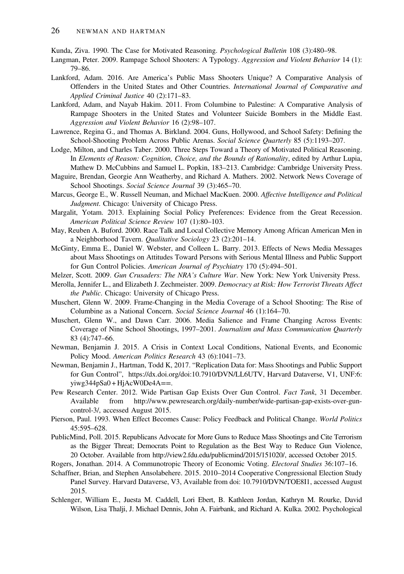<span id="page-25-0"></span>Kunda, Ziva. 1990. The Case for Motivated Reasoning. Psychological Bulletin 108 (3):480–98.

- Langman, Peter. 2009. Rampage School Shooters: A Typology. Aggression and Violent Behavior 14 (1): 79–86.
- Lankford, Adam. 2016. Are America's Public Mass Shooters Unique? A Comparative Analysis of Offenders in the United States and Other Countries. International Journal of Comparative and Applied Criminal Justice 40 (2):171–83.
- Lankford, Adam, and Nayab Hakim. 2011. From Columbine to Palestine: A Comparative Analysis of Rampage Shooters in the United States and Volunteer Suicide Bombers in the Middle East. Aggression and Violent Behavior 16 (2):98–107.
- Lawrence, Regina G., and Thomas A. Birkland. 2004. Guns, Hollywood, and School Safety: Defining the School-Shooting Problem Across Public Arenas. Social Science Quarterly 85 (5):1193-207.
- Lodge, Milton, and Charles Taber. 2000. Three Steps Toward a Theory of Motivated Political Reasoning. In Elements of Reason: Cognition, Choice, and the Bounds of Rationality, edited by Arthur Lupia, Mathew D. McCubbins and Samuel L. Popkin, 183–213. Cambridge: Cambridge University Press.
- Maguire, Brendan, Georgie Ann Weatherby, and Richard A. Mathers. 2002. Network News Coverage of School Shootings. Social Science Journal 39 (3):465-70.
- Marcus, George E., W. Russell Neuman, and Michael MacKuen. 2000. Affective Intelligence and Political Judgment. Chicago: University of Chicago Press.
- Margalit, Yotam. 2013. Explaining Social Policy Preferences: Evidence from the Great Recession. American Political Science Review 107 (1):80–103.
- May, Reuben A. Buford. 2000. Race Talk and Local Collective Memory Among African American Men in a Neighborhood Tavern. Qualitative Sociology 23 (2):201–14.
- McGinty, Emma E., Daniel W. Webster, and Colleen L. Barry. 2013. Effects of News Media Messages about Mass Shootings on Attitudes Toward Persons with Serious Mental Illness and Public Support for Gun Control Policies. American Journal of Psychiatry 170 (5):494–501.
- Melzer, Scott. 2009. Gun Crusaders: The NRA's Culture War. New York: New York University Press.
- Merolla, Jennifer L., and Elizabeth J. Zechmeister. 2009. Democracy at Risk: How Terrorist Threats Affect the Public. Chicago: University of Chicago Press.
- Muschert, Glenn W. 2009. Frame-Changing in the Media Coverage of a School Shooting: The Rise of Columbine as a National Concern. Social Science Journal 46 (1):164–70.
- Muschert, Glenn W., and Dawn Carr. 2006. Media Salience and Frame Changing Across Events: Coverage of Nine School Shootings, 1997–2001. Journalism and Mass Communication Quarterly 83 (4):747–66.
- Newman, Benjamin J. 2015. A Crisis in Context Local Conditions, National Events, and Economic Policy Mood. American Politics Research 43 (6):1041–73.
- Newman, Benjamin J., Hartman, Todd K, 2017. "Replication Data for: Mass Shootings and Public Support for Gun Control", https://dx.doi.org/doi:10.7910/DVN/LL6UTV, Harvard Dataverse, V1, UNF:6:  $yiwg344pSa0 + HjAcW0De4A ==$ .
- Pew Research Center. 2012. Wide Partisan Gap Exists Over Gun Control. Fact Tank, 31 December. Available from [http://www.pewresearch.org/daily-number/wide-partisan-gap-exists-over-gun](http://www.pewresearch.org/daily-number/wide-partisan-gap-exists-over-gun-control-3/)[control-3/,](http://www.pewresearch.org/daily-number/wide-partisan-gap-exists-over-gun-control-3/) accessed August 2015.
- Pierson, Paul. 1993. When Effect Becomes Cause: Policy Feedback and Political Change. World Politics 45:595–628.
- PublicMind, Poll. 2015. Republicans Advocate for More Guns to Reduce Mass Shootings and Cite Terrorism as the Bigger Threat; Democrats Point to Regulation as the Best Way to Reduce Gun Violence, 20 October. Available from [http://view2.fdu.edu/publicmind/2015/151020/,](http://view2.fdu.edu/publicmind/2015�/�151020/) accessed October 2015.
- Rogers, Jonathan. 2014. A Communotropic Theory of Economic Voting. Electoral Studies 36:107–16.
- Schaffner, Brian, and Stephen Ansolabehere. 2015. 2010–2014 Cooperative Congressional Election Study Panel Survey. Harvard Dataverse, V3, Available from doi: 10.7910/DVN/TOE8I1, accessed August 2015.
- Schlenger, William E., Juesta M. Caddell, Lori Ebert, B. Kathleen Jordan, Kathryn M. Rourke, David Wilson, Lisa Thalji, J. Michael Dennis, John A. Fairbank, and Richard A. Kulka. 2002. Psychological